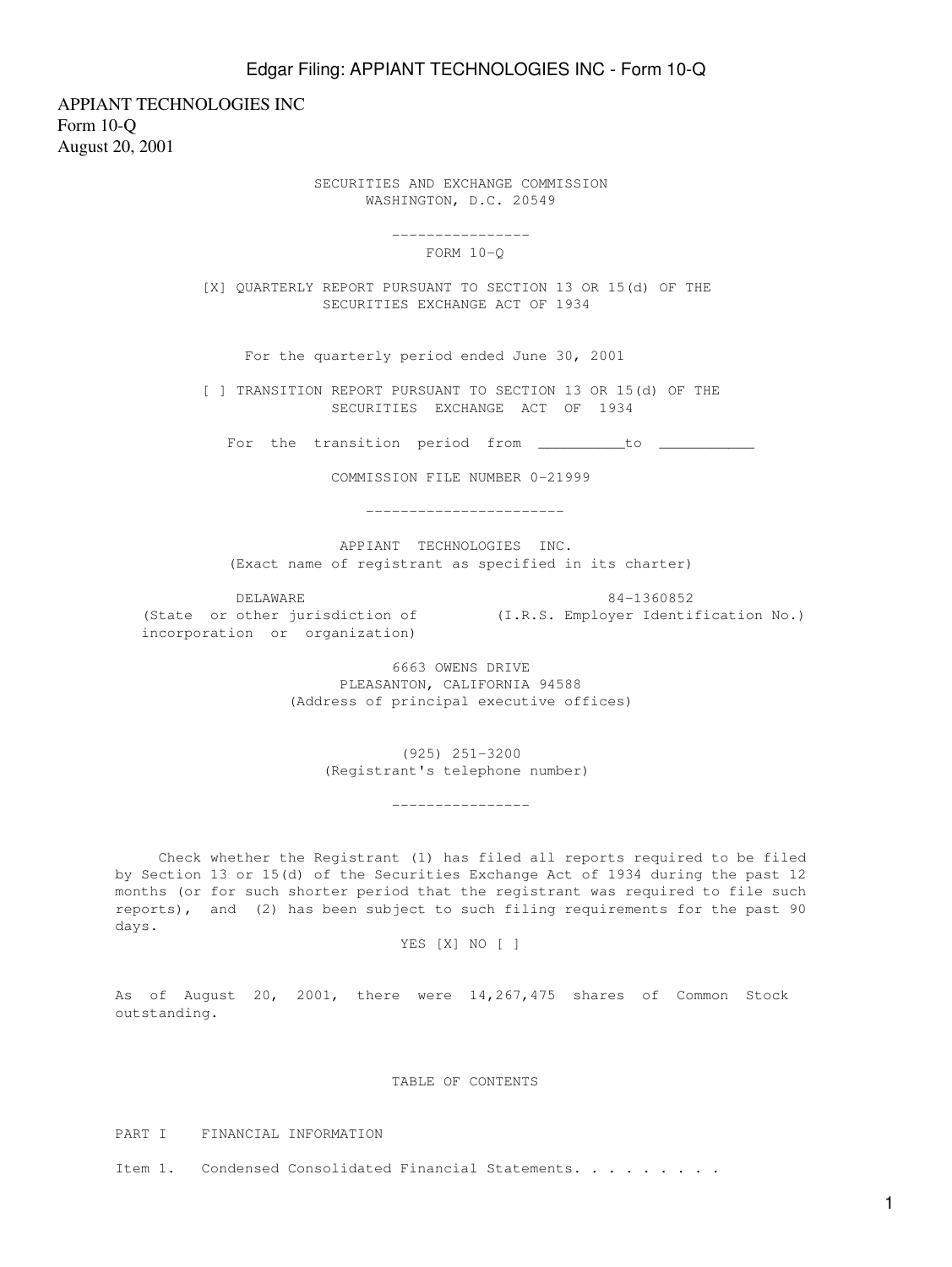APPIANT TECHNOLOGIES INC Form 10-Q August 20, 2001

> SECURITIES AND EXCHANGE COMMISSION WASHINGTON, D.C. 20549

> > ----------------

FORM 10-Q

 [X] QUARTERLY REPORT PURSUANT TO SECTION 13 OR 15(d) OF THE SECURITIES EXCHANGE ACT OF 1934

For the quarterly period ended June 30, 2001

 [ ] TRANSITION REPORT PURSUANT TO SECTION 13 OR 15(d) OF THE SECURITIES EXCHANGE ACT OF 1934

For the transition period from \_\_\_\_\_\_\_\_\_to \_\_\_\_\_\_\_\_\_\_\_

COMMISSION FILE NUMBER 0-21999

-----------------------

 APPIANT TECHNOLOGIES INC. (Exact name of registrant as specified in its charter)

 DELAWARE 84-1360852 (State or other jurisdiction of (I.R.S. Employer Identification No.)

incorporation or organization)

 6663 OWENS DRIVE PLEASANTON, CALIFORNIA 94588 (Address of principal executive offices)

> (925) 251-3200 (Registrant's telephone number)

----------------

 Check whether the Registrant (1) has filed all reports required to be filed by Section 13 or 15(d) of the Securities Exchange Act of 1934 during the past 12 months (or for such shorter period that the registrant was required to file such reports), and (2) has been subject to such filing requirements for the past 90 days.

YES [X] NO [ ]

As of August 20, 2001, there were 14,267,475 shares of Common Stock outstanding.

TABLE OF CONTENTS

PART I FINANCIAL INFORMATION

Item 1. Condensed Consolidated Financial Statements. . . . . . . . .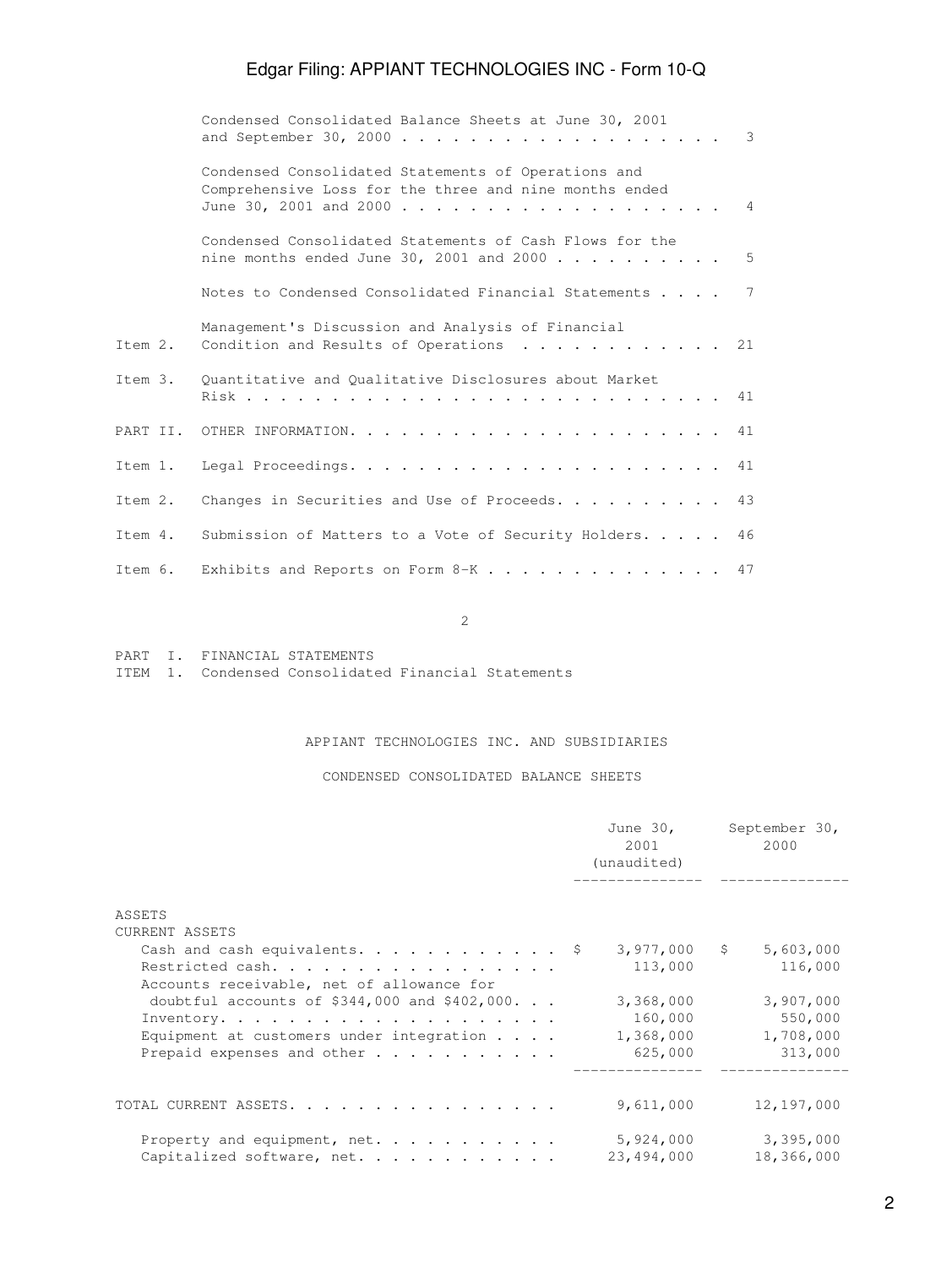|         | Condensed Consolidated Balance Sheets at June 30, 2001                                                        | $\overline{\phantom{a}}$ 3 |
|---------|---------------------------------------------------------------------------------------------------------------|----------------------------|
|         | Condensed Consolidated Statements of Operations and<br>Comprehensive Loss for the three and nine months ended | $\overline{4}$             |
|         | Condensed Consolidated Statements of Cash Flows for the<br>nine months ended June 30, 2001 and 2000 5         |                            |
|         | Notes to Condensed Consolidated Financial Statements 7                                                        |                            |
| Item 2. | Management's Discussion and Analysis of Financial<br>Condition and Results of Operations 21                   |                            |
|         | Item 3. Quantitative and Qualitative Disclosures about Market                                                 |                            |
|         |                                                                                                               |                            |
|         |                                                                                                               |                            |
| Item 2. | Changes in Securities and Use of Proceeds. 43                                                                 |                            |
|         | Item 4. Submission of Matters to a Vote of Security Holders. 46                                               |                            |
|         | Item 6. Exhibits and Reports on Form $8-K$ 47                                                                 |                            |

2

PART I. FINANCIAL STATEMENTS

ITEM 1. Condensed Consolidated Financial Statements

### APPIANT TECHNOLOGIES INC. AND SUBSIDIARIES

CONDENSED CONSOLIDATED BALANCE SHEETS

|                                                     | June 30,<br>2001<br>(unaudited) | September 30,<br>2000     |
|-----------------------------------------------------|---------------------------------|---------------------------|
|                                                     |                                 |                           |
| ASSETS                                              |                                 |                           |
| CURRENT ASSETS                                      |                                 |                           |
| Cash and cash equivalents. \$                       | 3,977,000                       | $\mathsf{S}$<br>5,603,000 |
| Restricted cash.                                    | 113,000                         | 116,000                   |
| Accounts receivable, net of allowance for           |                                 |                           |
| doubtful accounts of $$344,000$ and $$402,000$      | 3,368,000                       | 3,907,000                 |
|                                                     | 160,000                         | 550,000                   |
| Equipment at customers under integration $\ldots$ . | 1,368,000                       | 1,708,000                 |
| Prepaid expenses and other                          | 625,000                         | 313,000                   |
|                                                     |                                 |                           |
| TOTAL CURRENT ASSETS.                               | 9,611,000                       | 12,197,000                |
| Property and equipment, net.                        | 5,924,000                       | 3,395,000                 |
| Capitalized software, net.                          | 23,494,000                      | 18,366,000                |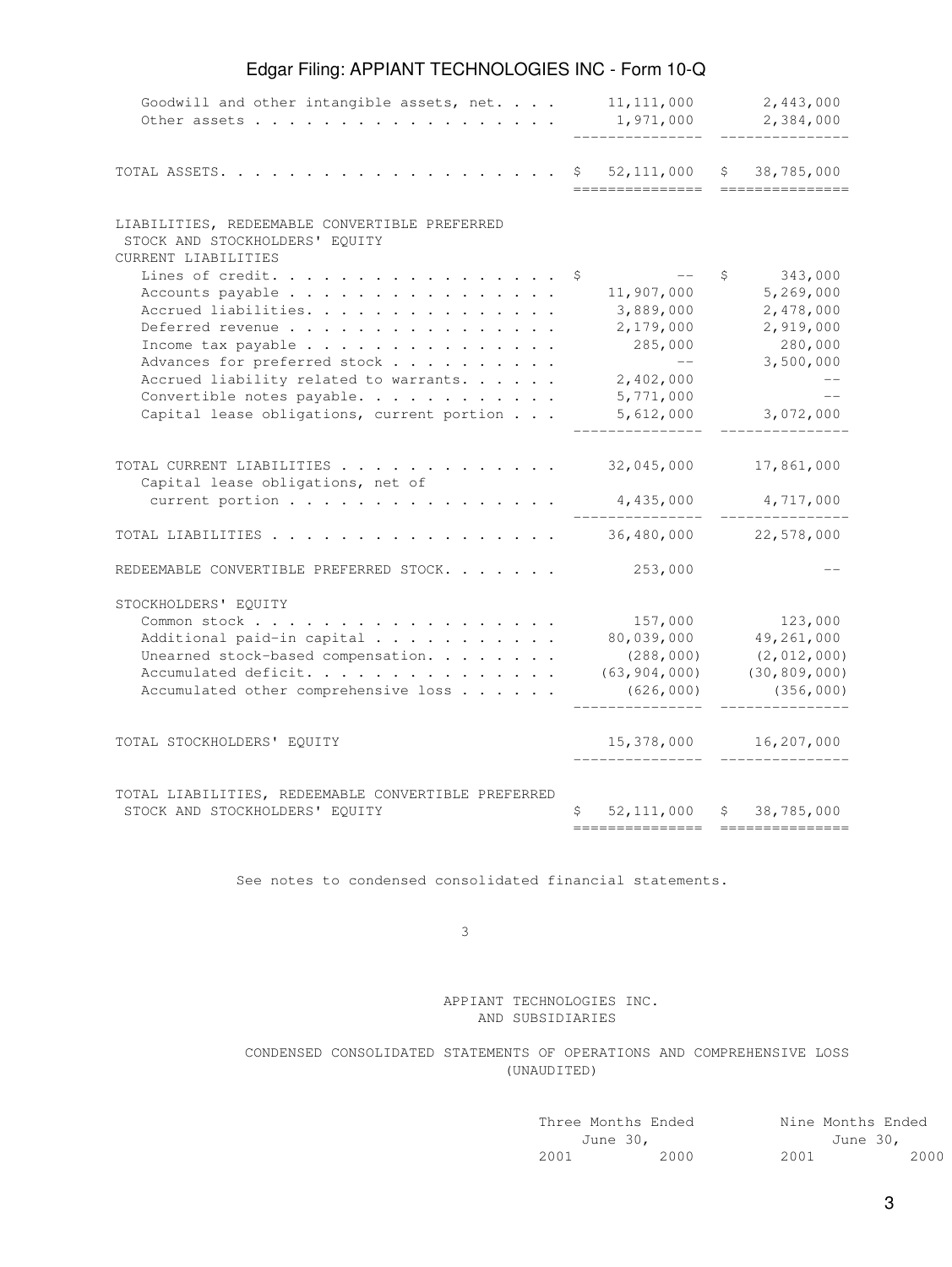| Goodwill and other intangible assets, net.<br>Other assets                                                                                                                                                                                                   | 11, 111, 000<br>1,971,000                                                                    | 2,443,000<br>2,384,000                                                                    |
|--------------------------------------------------------------------------------------------------------------------------------------------------------------------------------------------------------------------------------------------------------------|----------------------------------------------------------------------------------------------|-------------------------------------------------------------------------------------------|
| TOTAL ASSETS. .                                                                                                                                                                                                                                              | 52, 111, 000<br>\$.                                                                          | 38,785,000<br>\$                                                                          |
| LIABILITIES, REDEEMABLE CONVERTIBLE PREFERRED<br>STOCK AND STOCKHOLDERS' EQUITY<br>CURRENT LIABILITIES                                                                                                                                                       |                                                                                              |                                                                                           |
| Lines of credit.<br>Accounts payable<br>Accrued liabilities.<br>Deferred revenue<br>Income tax payable<br>Advances for preferred stock<br>Accrued liability related to warrants.<br>Convertible notes payable.<br>Capital lease obligations, current portion | \$<br>11,907,000<br>3,889,000<br>2,179,000<br>285,000<br>2,402,000<br>5,771,000<br>5,612,000 | 343,000<br>\$<br>5,269,000<br>2,478,000<br>2,919,000<br>280,000<br>3,500,000<br>3,072,000 |
| TOTAL CURRENT LIABILITIES<br>Capital lease obligations, net of<br>current portion                                                                                                                                                                            | 32,045,000<br>4,435,000                                                                      | 17,861,000<br>4,717,000                                                                   |
| TOTAL LIABILITIES                                                                                                                                                                                                                                            | 36,480,000                                                                                   | 22,578,000                                                                                |
| REDEEMABLE CONVERTIBLE PREFERRED STOCK.                                                                                                                                                                                                                      | 253,000                                                                                      |                                                                                           |
| STOCKHOLDERS' EQUITY<br>Common stock<br>Additional paid-in capital<br>Unearned stock-based compensation.<br>Accumulated deficit.<br>Accumulated other comprehensive loss                                                                                     | 157,000<br>80,039,000<br>(288, 000)<br>(63, 904, 000)<br>(626, 000)                          | 123,000<br>49,261,000<br>(2, 012, 000)<br>(30, 809, 000)<br>(356, 000)                    |
| TOTAL STOCKHOLDERS' EQUITY                                                                                                                                                                                                                                   | 15,378,000                                                                                   | 16,207,000                                                                                |
| TOTAL LIABILITIES, REDEEMABLE CONVERTIBLE PREFERRED<br>STOCK AND STOCKHOLDERS' EQUITY                                                                                                                                                                        | 52, 111, 000<br>S                                                                            | \$38,785,000                                                                              |

See notes to condensed consolidated financial statements.

 $\sim$  3

 APPIANT TECHNOLOGIES INC. AND SUBSIDIARIES

### CONDENSED CONSOLIDATED STATEMENTS OF OPERATIONS AND COMPREHENSIVE LOSS (UNAUDITED)

| Three Months Ended   | Nine Months Ended |
|----------------------|-------------------|
| June 30,             | June 30,          |
| 2000<br>2001<br>2001 | 2000              |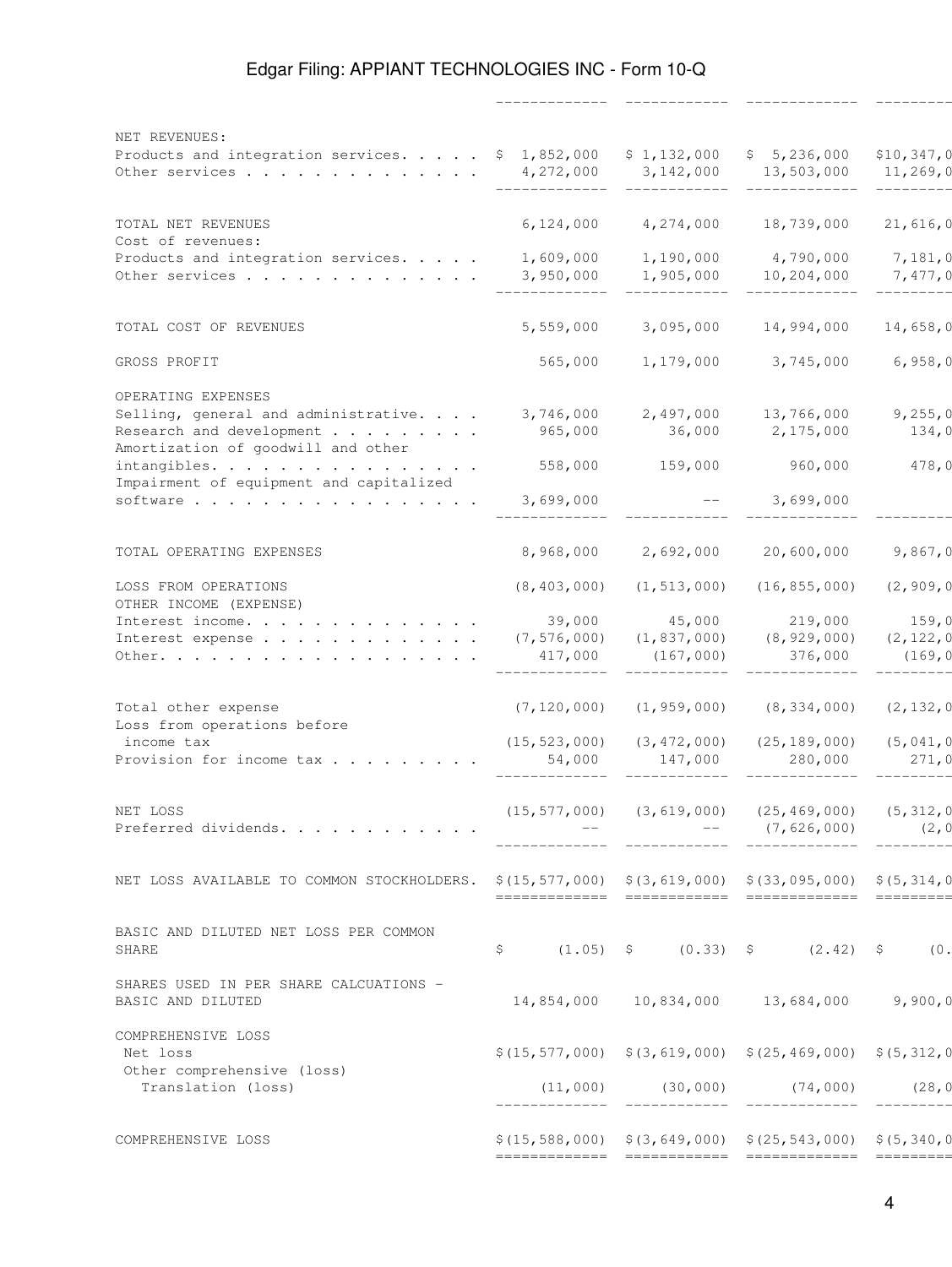------------- ------------ ------------- ------------

| NET REVENUES:<br>Products and integration services. \$ 1,852,000<br>Other services                | 4,272,000                          | \$1,132,000<br>3,142,000             | \$5,236,000<br>13,503,000                                            | \$10,347,0<br>11, 269, 0        |
|---------------------------------------------------------------------------------------------------|------------------------------------|--------------------------------------|----------------------------------------------------------------------|---------------------------------|
| TOTAL NET REVENUES<br>Cost of revenues:                                                           | 6,124,000                          | 4,274,000                            | 18,739,000                                                           | 21,616,0                        |
| Products and integration services.<br>Other services                                              | 1,609,000<br>3,950,000             | 1,190,000<br>1,905,000               | 4,790,000<br>10,204,000                                              | 7,181,0<br>7,477,0              |
| TOTAL COST OF REVENUES                                                                            | 5,559,000                          | 3,095,000                            | 14,994,000                                                           | 14,658,0                        |
| GROSS PROFIT                                                                                      | 565,000                            | 1,179,000                            | 3,745,000                                                            | 6,958,0                         |
| OPERATING EXPENSES<br>Selling, general and administrative.<br>Research and development            | 3,746,000<br>965,000               | 2,497,000<br>36,000                  | 13,766,000<br>2,175,000                                              | 9,255,0<br>134,0                |
| Amortization of goodwill and other<br>intangibles.<br>Impairment of equipment and capitalized     | 558,000                            | 159,000                              | 960,000                                                              | 478,0                           |
| software                                                                                          | 3,699,000                          |                                      | 3,699,000                                                            |                                 |
| TOTAL OPERATING EXPENSES                                                                          | 8,968,000                          | 2,692,000                            | 20,600,000                                                           | 9,867,0                         |
| LOSS FROM OPERATIONS<br>OTHER INCOME (EXPENSE)                                                    | (8, 403, 000)                      | (1, 513, 000)                        | (16, 855, 000)                                                       | (2, 909, 0                      |
| Interest income.<br>Interest expense<br>Other.                                                    | 39,000<br>(7, 576, 000)<br>417,000 | 45,000<br>(1, 837, 000)<br>(167,000) | 219,000<br>(8, 929, 000)<br>376,000                                  | 159,0<br>(2, 122, 0)<br>(169, 0 |
| Total other expense<br>Loss from operations before<br>income tax                                  | (7, 120, 000)<br>(15, 523, 000)    | (1, 959, 000)<br>(3, 472, 000)       | (8, 334, 000)<br>(25, 189, 000)                                      | (2, 132, 0)<br>(5, 041, 0       |
| Provision for income tax                                                                          | 54,000                             | 147,000                              | 280,000                                                              | 271,0                           |
| NET LOSS<br>Preferred dividends.                                                                  | (15, 577, 000)                     | (3, 619, 000)                        | (25, 469, 000)<br>(7, 626, 000)                                      | (5, 312, 0<br>(2, 0)            |
| NET LOSS AVAILABLE TO COMMON STOCKHOLDERS. \$(15,577,000) \$(3,619,000) \$(33,095,000) \$(5,314,0 |                                    |                                      |                                                                      |                                 |
| BASIC AND DILUTED NET LOSS PER COMMON<br>SHARE                                                    | \$                                 |                                      | $(1.05)$ \$ $(0.33)$ \$ $(2.42)$ \$ $(0.105)$                        |                                 |
| SHARES USED IN PER SHARE CALCUATIONS -<br>BASIC AND DILUTED                                       |                                    |                                      | 14,854,000 10,834,000 13,684,000 9,900,0                             |                                 |
| COMPREHENSIVE LOSS<br>Net loss                                                                    |                                    |                                      | $$(15, 577, 000)$ $$(3, 619, 000)$ $$(25, 469, 000)$ $$(5, 312, 0)$  |                                 |
| Other comprehensive (loss)<br>Translation (loss)                                                  |                                    |                                      | $(11, 000)$ $(30, 000)$ $(74, 000)$                                  | (28, 0)                         |
| COMPREHENSIVE LOSS                                                                                |                                    |                                      | $$(15, 588, 000)$ $$(3, 649, 000)$ $$(25, 543, 000)$ $$(5, 340, 00)$ |                                 |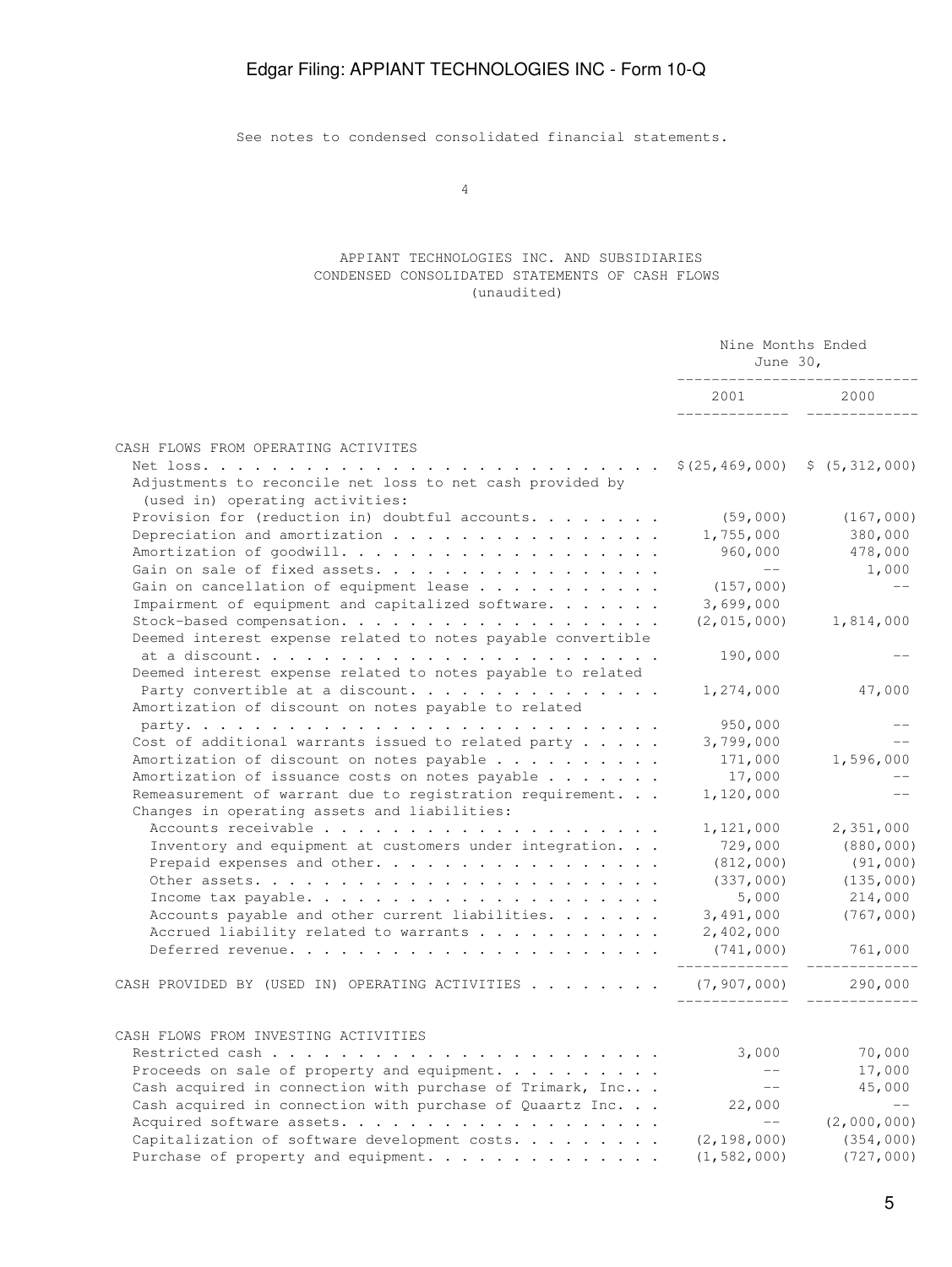See notes to condensed consolidated financial statements.

4

#### APPIANT TECHNOLOGIES INC. AND SUBSIDIARIES CONDENSED CONSOLIDATED STATEMENTS OF CASH FLOWS (unaudited)

| 2001 000<br>2000<br>Adjustments to reconcile net loss to net cash provided by<br>(used in) operating activities:<br>Provision for (reduction in) doubtful accounts.<br>(59,000)<br>(167,000)<br>380,000<br>1,755,000<br>960,000<br>478,000<br>$--$<br>Gain on sale of fixed assets.<br>1,000<br>$---$<br>Gain on cancellation of equipment lease<br>(157,000)<br>Impairment of equipment and capitalized software.<br>3,699,000<br>$(2, 015, 000)$ 1,814,000<br>Deemed interest expense related to notes payable convertible<br>190,000<br>Deemed interest expense related to notes payable to related<br>Party convertible at a discount.<br>47,000<br>1,274,000<br>Amortization of discount on notes payable to related<br>950,000<br>Cost of additional warrants issued to related party $\ldots$ .<br>3,799,000<br>$- -$<br>Amortization of discount on notes payable<br>171,000<br>1,596,000<br>Amortization of issuance costs on notes payable $\ldots$<br>17,000<br>Remeasurement of warrant due to registration requirement.<br>1,120,000<br>$---$<br>Changes in operating assets and liabilities:<br>1,121,000<br>2,351,000<br>Inventory and equipment at customers under integration.<br>729,000<br>(880, 000)<br>Prepaid expenses and other.<br>(812,000)<br>(91,000)<br>(337,000)<br>(135,000)<br>5,000<br>214,000<br>3,491,000<br>(767,000)<br>Accounts payable and other current liabilities.<br>Accrued liability related to warrants<br>2,402,000<br>(741,000)<br>761,000<br>_____________<br>___________<br>CASH PROVIDED BY (USED IN) OPERATING ACTIVITIES $\ldots$ ,  (7,907,000)<br>290,000<br>CASH FLOWS FROM INVESTING ACTIVITIES<br>70,000<br>3,000<br>Proceeds on sale of property and equipment.<br>$ -$<br>17,000<br>Cash acquired in connection with purchase of Trimark, Inc<br>45,000<br>$--$<br>Cash acquired in connection with purchase of Quaartz Inc.<br>22,000<br>$\qquad -$<br>Acquired software assets.<br>(2,000,000)<br>Capitalization of software development costs. $\ldots$<br>(2, 198, 000)<br>(354, 000) |                                     | Nine Months Ended<br>June $30l$<br>_______________________ |  |
|------------------------------------------------------------------------------------------------------------------------------------------------------------------------------------------------------------------------------------------------------------------------------------------------------------------------------------------------------------------------------------------------------------------------------------------------------------------------------------------------------------------------------------------------------------------------------------------------------------------------------------------------------------------------------------------------------------------------------------------------------------------------------------------------------------------------------------------------------------------------------------------------------------------------------------------------------------------------------------------------------------------------------------------------------------------------------------------------------------------------------------------------------------------------------------------------------------------------------------------------------------------------------------------------------------------------------------------------------------------------------------------------------------------------------------------------------------------------------------------------------------------------------------------------------------------------------------------------------------------------------------------------------------------------------------------------------------------------------------------------------------------------------------------------------------------------------------------------------------------------------------------------------------------------------------------------------------------------------------------------------------------------------------------------------|-------------------------------------|------------------------------------------------------------|--|
|                                                                                                                                                                                                                                                                                                                                                                                                                                                                                                                                                                                                                                                                                                                                                                                                                                                                                                                                                                                                                                                                                                                                                                                                                                                                                                                                                                                                                                                                                                                                                                                                                                                                                                                                                                                                                                                                                                                                                                                                                                                      |                                     |                                                            |  |
|                                                                                                                                                                                                                                                                                                                                                                                                                                                                                                                                                                                                                                                                                                                                                                                                                                                                                                                                                                                                                                                                                                                                                                                                                                                                                                                                                                                                                                                                                                                                                                                                                                                                                                                                                                                                                                                                                                                                                                                                                                                      | CASH FLOWS FROM OPERATING ACTIVITES |                                                            |  |
|                                                                                                                                                                                                                                                                                                                                                                                                                                                                                                                                                                                                                                                                                                                                                                                                                                                                                                                                                                                                                                                                                                                                                                                                                                                                                                                                                                                                                                                                                                                                                                                                                                                                                                                                                                                                                                                                                                                                                                                                                                                      |                                     |                                                            |  |
|                                                                                                                                                                                                                                                                                                                                                                                                                                                                                                                                                                                                                                                                                                                                                                                                                                                                                                                                                                                                                                                                                                                                                                                                                                                                                                                                                                                                                                                                                                                                                                                                                                                                                                                                                                                                                                                                                                                                                                                                                                                      |                                     |                                                            |  |
|                                                                                                                                                                                                                                                                                                                                                                                                                                                                                                                                                                                                                                                                                                                                                                                                                                                                                                                                                                                                                                                                                                                                                                                                                                                                                                                                                                                                                                                                                                                                                                                                                                                                                                                                                                                                                                                                                                                                                                                                                                                      |                                     |                                                            |  |
|                                                                                                                                                                                                                                                                                                                                                                                                                                                                                                                                                                                                                                                                                                                                                                                                                                                                                                                                                                                                                                                                                                                                                                                                                                                                                                                                                                                                                                                                                                                                                                                                                                                                                                                                                                                                                                                                                                                                                                                                                                                      |                                     |                                                            |  |
|                                                                                                                                                                                                                                                                                                                                                                                                                                                                                                                                                                                                                                                                                                                                                                                                                                                                                                                                                                                                                                                                                                                                                                                                                                                                                                                                                                                                                                                                                                                                                                                                                                                                                                                                                                                                                                                                                                                                                                                                                                                      |                                     |                                                            |  |
|                                                                                                                                                                                                                                                                                                                                                                                                                                                                                                                                                                                                                                                                                                                                                                                                                                                                                                                                                                                                                                                                                                                                                                                                                                                                                                                                                                                                                                                                                                                                                                                                                                                                                                                                                                                                                                                                                                                                                                                                                                                      |                                     |                                                            |  |
|                                                                                                                                                                                                                                                                                                                                                                                                                                                                                                                                                                                                                                                                                                                                                                                                                                                                                                                                                                                                                                                                                                                                                                                                                                                                                                                                                                                                                                                                                                                                                                                                                                                                                                                                                                                                                                                                                                                                                                                                                                                      |                                     |                                                            |  |
|                                                                                                                                                                                                                                                                                                                                                                                                                                                                                                                                                                                                                                                                                                                                                                                                                                                                                                                                                                                                                                                                                                                                                                                                                                                                                                                                                                                                                                                                                                                                                                                                                                                                                                                                                                                                                                                                                                                                                                                                                                                      |                                     |                                                            |  |
|                                                                                                                                                                                                                                                                                                                                                                                                                                                                                                                                                                                                                                                                                                                                                                                                                                                                                                                                                                                                                                                                                                                                                                                                                                                                                                                                                                                                                                                                                                                                                                                                                                                                                                                                                                                                                                                                                                                                                                                                                                                      |                                     |                                                            |  |
|                                                                                                                                                                                                                                                                                                                                                                                                                                                                                                                                                                                                                                                                                                                                                                                                                                                                                                                                                                                                                                                                                                                                                                                                                                                                                                                                                                                                                                                                                                                                                                                                                                                                                                                                                                                                                                                                                                                                                                                                                                                      |                                     |                                                            |  |
|                                                                                                                                                                                                                                                                                                                                                                                                                                                                                                                                                                                                                                                                                                                                                                                                                                                                                                                                                                                                                                                                                                                                                                                                                                                                                                                                                                                                                                                                                                                                                                                                                                                                                                                                                                                                                                                                                                                                                                                                                                                      |                                     |                                                            |  |
|                                                                                                                                                                                                                                                                                                                                                                                                                                                                                                                                                                                                                                                                                                                                                                                                                                                                                                                                                                                                                                                                                                                                                                                                                                                                                                                                                                                                                                                                                                                                                                                                                                                                                                                                                                                                                                                                                                                                                                                                                                                      |                                     |                                                            |  |
|                                                                                                                                                                                                                                                                                                                                                                                                                                                                                                                                                                                                                                                                                                                                                                                                                                                                                                                                                                                                                                                                                                                                                                                                                                                                                                                                                                                                                                                                                                                                                                                                                                                                                                                                                                                                                                                                                                                                                                                                                                                      |                                     |                                                            |  |
|                                                                                                                                                                                                                                                                                                                                                                                                                                                                                                                                                                                                                                                                                                                                                                                                                                                                                                                                                                                                                                                                                                                                                                                                                                                                                                                                                                                                                                                                                                                                                                                                                                                                                                                                                                                                                                                                                                                                                                                                                                                      |                                     |                                                            |  |
|                                                                                                                                                                                                                                                                                                                                                                                                                                                                                                                                                                                                                                                                                                                                                                                                                                                                                                                                                                                                                                                                                                                                                                                                                                                                                                                                                                                                                                                                                                                                                                                                                                                                                                                                                                                                                                                                                                                                                                                                                                                      |                                     |                                                            |  |
|                                                                                                                                                                                                                                                                                                                                                                                                                                                                                                                                                                                                                                                                                                                                                                                                                                                                                                                                                                                                                                                                                                                                                                                                                                                                                                                                                                                                                                                                                                                                                                                                                                                                                                                                                                                                                                                                                                                                                                                                                                                      |                                     |                                                            |  |
|                                                                                                                                                                                                                                                                                                                                                                                                                                                                                                                                                                                                                                                                                                                                                                                                                                                                                                                                                                                                                                                                                                                                                                                                                                                                                                                                                                                                                                                                                                                                                                                                                                                                                                                                                                                                                                                                                                                                                                                                                                                      |                                     |                                                            |  |
|                                                                                                                                                                                                                                                                                                                                                                                                                                                                                                                                                                                                                                                                                                                                                                                                                                                                                                                                                                                                                                                                                                                                                                                                                                                                                                                                                                                                                                                                                                                                                                                                                                                                                                                                                                                                                                                                                                                                                                                                                                                      |                                     |                                                            |  |
|                                                                                                                                                                                                                                                                                                                                                                                                                                                                                                                                                                                                                                                                                                                                                                                                                                                                                                                                                                                                                                                                                                                                                                                                                                                                                                                                                                                                                                                                                                                                                                                                                                                                                                                                                                                                                                                                                                                                                                                                                                                      |                                     |                                                            |  |
|                                                                                                                                                                                                                                                                                                                                                                                                                                                                                                                                                                                                                                                                                                                                                                                                                                                                                                                                                                                                                                                                                                                                                                                                                                                                                                                                                                                                                                                                                                                                                                                                                                                                                                                                                                                                                                                                                                                                                                                                                                                      |                                     |                                                            |  |
|                                                                                                                                                                                                                                                                                                                                                                                                                                                                                                                                                                                                                                                                                                                                                                                                                                                                                                                                                                                                                                                                                                                                                                                                                                                                                                                                                                                                                                                                                                                                                                                                                                                                                                                                                                                                                                                                                                                                                                                                                                                      |                                     |                                                            |  |
|                                                                                                                                                                                                                                                                                                                                                                                                                                                                                                                                                                                                                                                                                                                                                                                                                                                                                                                                                                                                                                                                                                                                                                                                                                                                                                                                                                                                                                                                                                                                                                                                                                                                                                                                                                                                                                                                                                                                                                                                                                                      |                                     |                                                            |  |
|                                                                                                                                                                                                                                                                                                                                                                                                                                                                                                                                                                                                                                                                                                                                                                                                                                                                                                                                                                                                                                                                                                                                                                                                                                                                                                                                                                                                                                                                                                                                                                                                                                                                                                                                                                                                                                                                                                                                                                                                                                                      |                                     |                                                            |  |
|                                                                                                                                                                                                                                                                                                                                                                                                                                                                                                                                                                                                                                                                                                                                                                                                                                                                                                                                                                                                                                                                                                                                                                                                                                                                                                                                                                                                                                                                                                                                                                                                                                                                                                                                                                                                                                                                                                                                                                                                                                                      |                                     |                                                            |  |
|                                                                                                                                                                                                                                                                                                                                                                                                                                                                                                                                                                                                                                                                                                                                                                                                                                                                                                                                                                                                                                                                                                                                                                                                                                                                                                                                                                                                                                                                                                                                                                                                                                                                                                                                                                                                                                                                                                                                                                                                                                                      |                                     |                                                            |  |
|                                                                                                                                                                                                                                                                                                                                                                                                                                                                                                                                                                                                                                                                                                                                                                                                                                                                                                                                                                                                                                                                                                                                                                                                                                                                                                                                                                                                                                                                                                                                                                                                                                                                                                                                                                                                                                                                                                                                                                                                                                                      |                                     |                                                            |  |
|                                                                                                                                                                                                                                                                                                                                                                                                                                                                                                                                                                                                                                                                                                                                                                                                                                                                                                                                                                                                                                                                                                                                                                                                                                                                                                                                                                                                                                                                                                                                                                                                                                                                                                                                                                                                                                                                                                                                                                                                                                                      |                                     |                                                            |  |
|                                                                                                                                                                                                                                                                                                                                                                                                                                                                                                                                                                                                                                                                                                                                                                                                                                                                                                                                                                                                                                                                                                                                                                                                                                                                                                                                                                                                                                                                                                                                                                                                                                                                                                                                                                                                                                                                                                                                                                                                                                                      |                                     |                                                            |  |
|                                                                                                                                                                                                                                                                                                                                                                                                                                                                                                                                                                                                                                                                                                                                                                                                                                                                                                                                                                                                                                                                                                                                                                                                                                                                                                                                                                                                                                                                                                                                                                                                                                                                                                                                                                                                                                                                                                                                                                                                                                                      |                                     |                                                            |  |
|                                                                                                                                                                                                                                                                                                                                                                                                                                                                                                                                                                                                                                                                                                                                                                                                                                                                                                                                                                                                                                                                                                                                                                                                                                                                                                                                                                                                                                                                                                                                                                                                                                                                                                                                                                                                                                                                                                                                                                                                                                                      |                                     |                                                            |  |
|                                                                                                                                                                                                                                                                                                                                                                                                                                                                                                                                                                                                                                                                                                                                                                                                                                                                                                                                                                                                                                                                                                                                                                                                                                                                                                                                                                                                                                                                                                                                                                                                                                                                                                                                                                                                                                                                                                                                                                                                                                                      |                                     |                                                            |  |
|                                                                                                                                                                                                                                                                                                                                                                                                                                                                                                                                                                                                                                                                                                                                                                                                                                                                                                                                                                                                                                                                                                                                                                                                                                                                                                                                                                                                                                                                                                                                                                                                                                                                                                                                                                                                                                                                                                                                                                                                                                                      |                                     |                                                            |  |
|                                                                                                                                                                                                                                                                                                                                                                                                                                                                                                                                                                                                                                                                                                                                                                                                                                                                                                                                                                                                                                                                                                                                                                                                                                                                                                                                                                                                                                                                                                                                                                                                                                                                                                                                                                                                                                                                                                                                                                                                                                                      |                                     |                                                            |  |
|                                                                                                                                                                                                                                                                                                                                                                                                                                                                                                                                                                                                                                                                                                                                                                                                                                                                                                                                                                                                                                                                                                                                                                                                                                                                                                                                                                                                                                                                                                                                                                                                                                                                                                                                                                                                                                                                                                                                                                                                                                                      |                                     |                                                            |  |
|                                                                                                                                                                                                                                                                                                                                                                                                                                                                                                                                                                                                                                                                                                                                                                                                                                                                                                                                                                                                                                                                                                                                                                                                                                                                                                                                                                                                                                                                                                                                                                                                                                                                                                                                                                                                                                                                                                                                                                                                                                                      |                                     |                                                            |  |
| Purchase of property and equipment.<br>(1, 582, 000)<br>(727,000)                                                                                                                                                                                                                                                                                                                                                                                                                                                                                                                                                                                                                                                                                                                                                                                                                                                                                                                                                                                                                                                                                                                                                                                                                                                                                                                                                                                                                                                                                                                                                                                                                                                                                                                                                                                                                                                                                                                                                                                    |                                     |                                                            |  |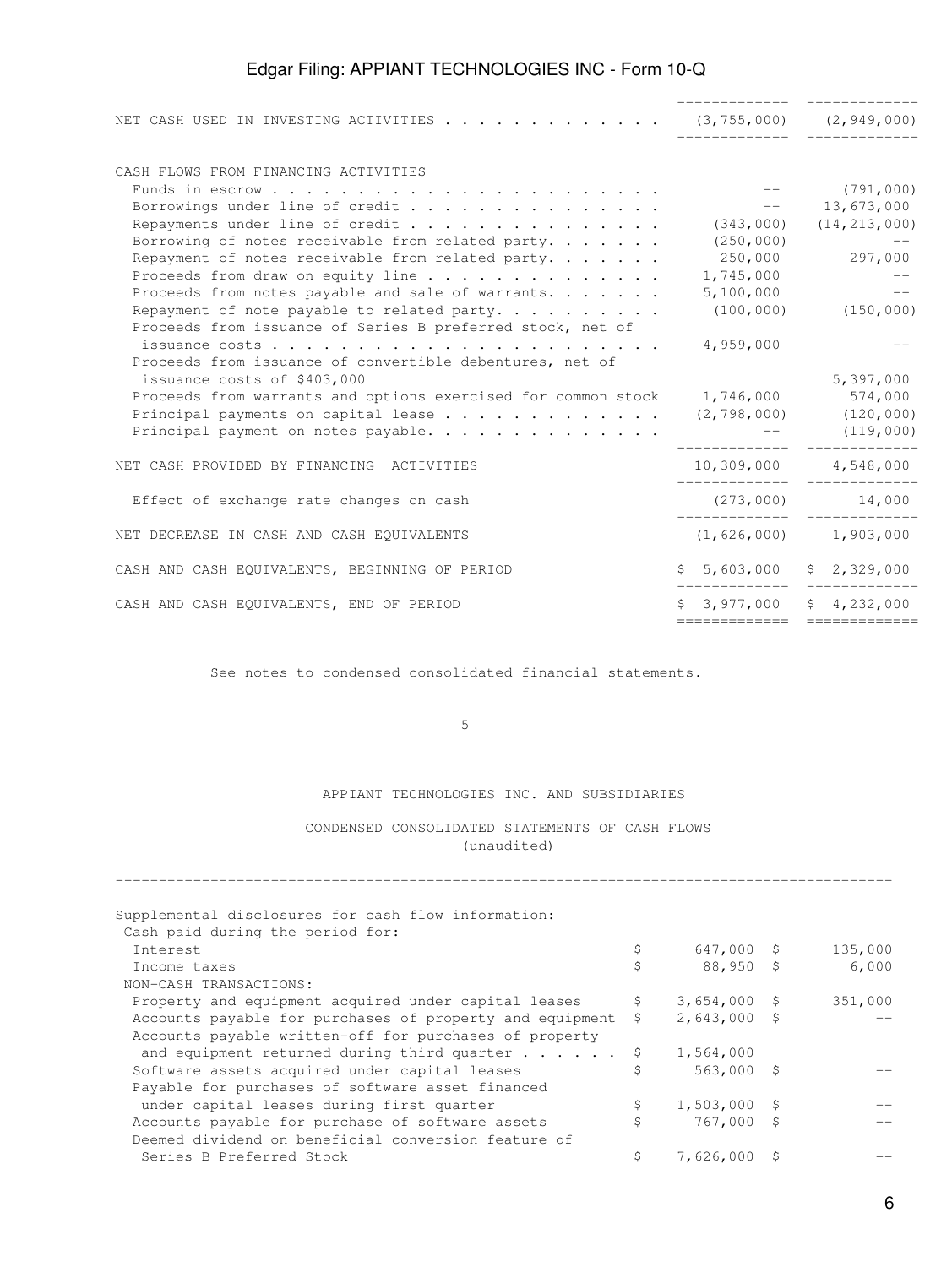| NET CASH USED IN INVESTING ACTIVITIES (3,755,000) (2,949,000)                   |                               |                           |
|---------------------------------------------------------------------------------|-------------------------------|---------------------------|
| CASH FLOWS FROM FINANCING ACTIVITIES                                            |                               |                           |
|                                                                                 | $---$ (791,000)               |                           |
| Borrowings under line of credit                                                 | $--$ 13,673,000               |                           |
| Repayments under line of credit                                                 | $(343,000)$ $(14,213,000)$    |                           |
| Borrowing of notes receivable from related party. $\ldots$                      |                               | $(250, 000)$ --           |
| Repayment of notes receivable from related party. $\ldots$                      |                               | 250,000 297,000           |
| Proceeds from draw on equity line                                               | $1,745,000$ --                |                           |
| Proceeds from notes payable and sale of warrants.                               | 5,100,000                     | <b>Service State</b>      |
| Repayment of note payable to related party. $\cdots$                            |                               | $(100, 000)$ $(150, 000)$ |
| Proceeds from issuance of Series B preferred stock, net of                      |                               |                           |
|                                                                                 | 4,959,000                     |                           |
| Proceeds from issuance of convertible debentures, net of                        |                               |                           |
| issuance costs of \$403,000                                                     |                               | 5,397,000                 |
| Proceeds from warrants and options exercised for common stock 1,746,000 574,000 |                               |                           |
| Principal payments on capital lease (2,798,000) (120,000)                       |                               |                           |
|                                                                                 |                               |                           |
| Principal payment on notes payable.                                             | $---$ (119,000)               |                           |
| NET CASH PROVIDED BY FINANCING ACTIVITIES                                       | 10,309,000 4,548,000          |                           |
|                                                                                 |                               |                           |
| Effect of exchange rate changes on cash                                         | $(273,000)$ 14,000            |                           |
| NET DECREASE IN CASH AND CASH EQUIVALENTS                                       | $(1, 626, 000)$ 1,903,000     |                           |
| CASH AND CASH EQUIVALENTS, BEGINNING OF PERIOD                                  | $$5,603,000$ $$2,329,000$     |                           |
|                                                                                 |                               |                           |
| CASH AND CASH EQUIVALENTS, END OF PERIOD                                        | $$3,977,000$ $$4,232,000$     |                           |
|                                                                                 | ============================= |                           |

See notes to condensed consolidated financial statements.

 $5<sub>5</sub>$ 

### APPIANT TECHNOLOGIES INC. AND SUBSIDIARIES

### CONDENSED CONSOLIDATED STATEMENTS OF CASH FLOWS (unaudited)

| Supplemental disclosures for cash flow information:      |    |                |         |
|----------------------------------------------------------|----|----------------|---------|
| Cash paid during the period for:                         |    |                |         |
| <b>Tnterest</b>                                          | \$ | $647,000$ \$   | 135,000 |
| Income taxes                                             | \$ | $88,950$ \$    | 6,000   |
| NON-CASH TRANSACTIONS:                                   |    |                |         |
| Property and equipment acquired under capital leases     | \$ | $3,654,000$ \$ | 351,000 |
| Accounts payable for purchases of property and equipment | \$ | $2,643,000$ \$ |         |
| Accounts payable written-off for purchases of property   |    |                |         |
| and equipment returned during third quarter $\ldots$     | -Ş | 1,564,000      |         |
| Software assets acquired under capital leases            | Ś  | 563,000 \$     |         |
| Payable for purchases of software asset financed         |    |                |         |
| under capital leases during first quarter                | \$ | $1,503,000$ \$ |         |
| Accounts payable for purchase of software assets         | \$ | 767,000 \$     |         |
| Deemed dividend on beneficial conversion feature of      |    |                |         |
| Series B Preferred Stock                                 | \$ | 7,626,000      |         |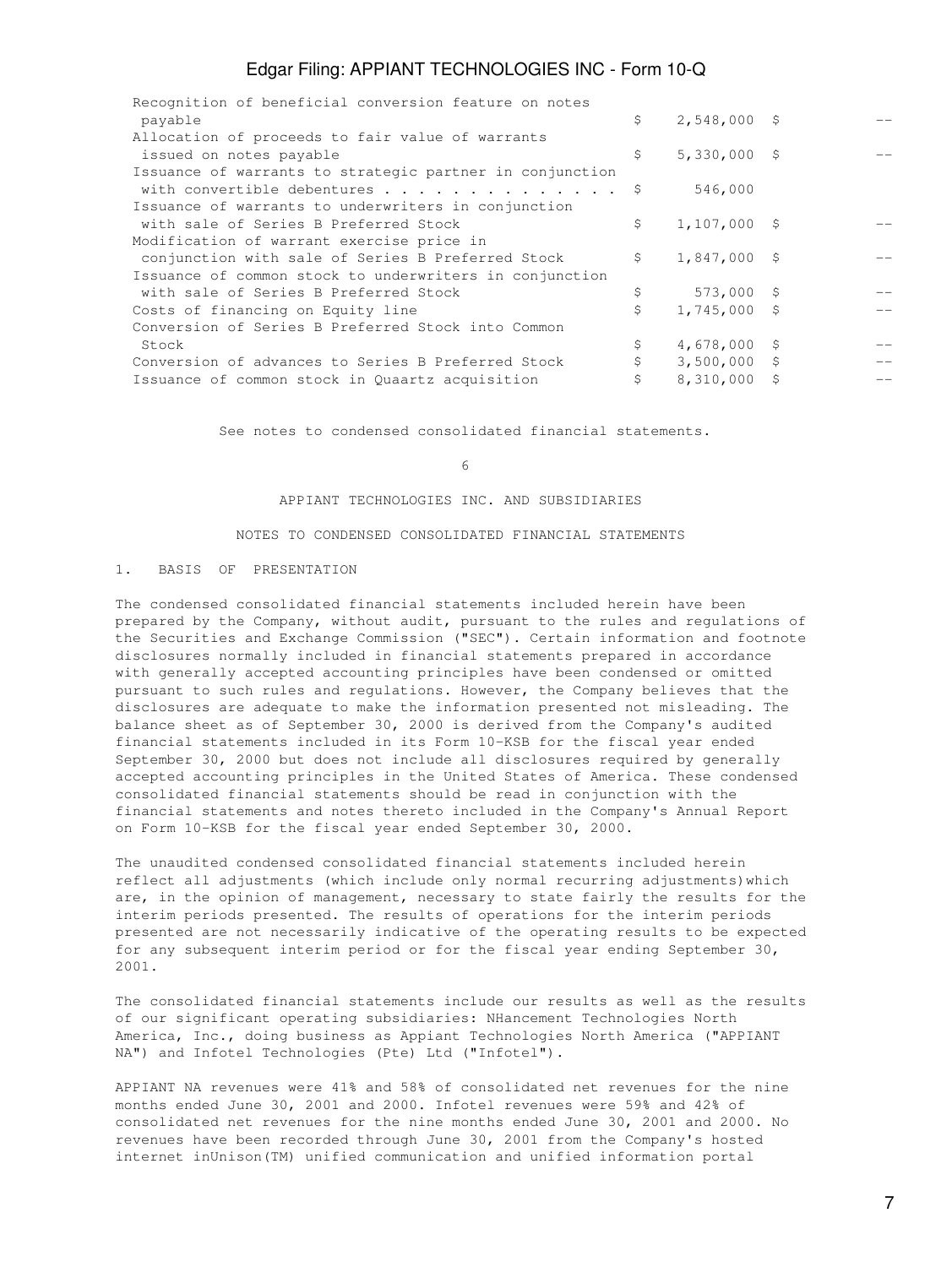| Recognition of beneficial conversion feature on notes    |                      |    |     |
|----------------------------------------------------------|----------------------|----|-----|
| payable                                                  | \$<br>$2,548,000$ \$ |    |     |
| Allocation of proceeds to fair value of warrants         |                      |    |     |
| issued on notes payable                                  | \$<br>$5,330,000$ \$ |    |     |
| Issuance of warrants to strategic partner in conjunction |                      |    |     |
| with convertible debentures \$                           | 546,000              |    |     |
| Issuance of warrants to underwriters in conjunction      |                      |    |     |
| with sale of Series B Preferred Stock                    | \$<br>$1,107,000$ \$ |    |     |
| Modification of warrant exercise price in                |                      |    |     |
| conjunction with sale of Series B Preferred Stock        | \$<br>$1,847,000$ \$ |    |     |
| Issuance of common stock to underwriters in conjunction  |                      |    |     |
| with sale of Series B Preferred Stock                    | \$<br>$573,000$ \$   |    |     |
| Costs of financing on Equity line                        | \$<br>$1,745,000$ \$ |    |     |
| Conversion of Series B Preferred Stock into Common       |                      |    |     |
| Stock                                                    | \$<br>$4,678,000$ \$ |    |     |
| Conversion of advances to Series B Preferred Stock       | \$<br>$3,500,000$ \$ |    | $-$ |
| Issuance of common stock in Quaartz acquisition          | \$<br>8,310,000      | -S |     |
|                                                          |                      |    |     |

See notes to condensed consolidated financial statements.

#### $\sim$  6

#### APPIANT TECHNOLOGIES INC. AND SUBSIDIARIES

#### NOTES TO CONDENSED CONSOLIDATED FINANCIAL STATEMENTS

#### 1. BASIS OF PRESENTATION

The condensed consolidated financial statements included herein have been prepared by the Company, without audit, pursuant to the rules and regulations of the Securities and Exchange Commission ("SEC"). Certain information and footnote disclosures normally included in financial statements prepared in accordance with generally accepted accounting principles have been condensed or omitted pursuant to such rules and regulations. However, the Company believes that the disclosures are adequate to make the information presented not misleading. The balance sheet as of September 30, 2000 is derived from the Company's audited financial statements included in its Form 10-KSB for the fiscal year ended September 30, 2000 but does not include all disclosures required by generally accepted accounting principles in the United States of America. These condensed consolidated financial statements should be read in conjunction with the financial statements and notes thereto included in the Company's Annual Report on Form 10-KSB for the fiscal year ended September 30, 2000.

The unaudited condensed consolidated financial statements included herein reflect all adjustments (which include only normal recurring adjustments)which are, in the opinion of management, necessary to state fairly the results for the interim periods presented. The results of operations for the interim periods presented are not necessarily indicative of the operating results to be expected for any subsequent interim period or for the fiscal year ending September 30, 2001.

The consolidated financial statements include our results as well as the results of our significant operating subsidiaries: NHancement Technologies North America, Inc., doing business as Appiant Technologies North America ("APPIANT NA") and Infotel Technologies (Pte) Ltd ("Infotel").

APPIANT NA revenues were 41% and 58% of consolidated net revenues for the nine months ended June 30, 2001 and 2000. Infotel revenues were 59% and 42% of consolidated net revenues for the nine months ended June 30, 2001 and 2000. No revenues have been recorded through June 30, 2001 from the Company's hosted internet inUnison(TM) unified communication and unified information portal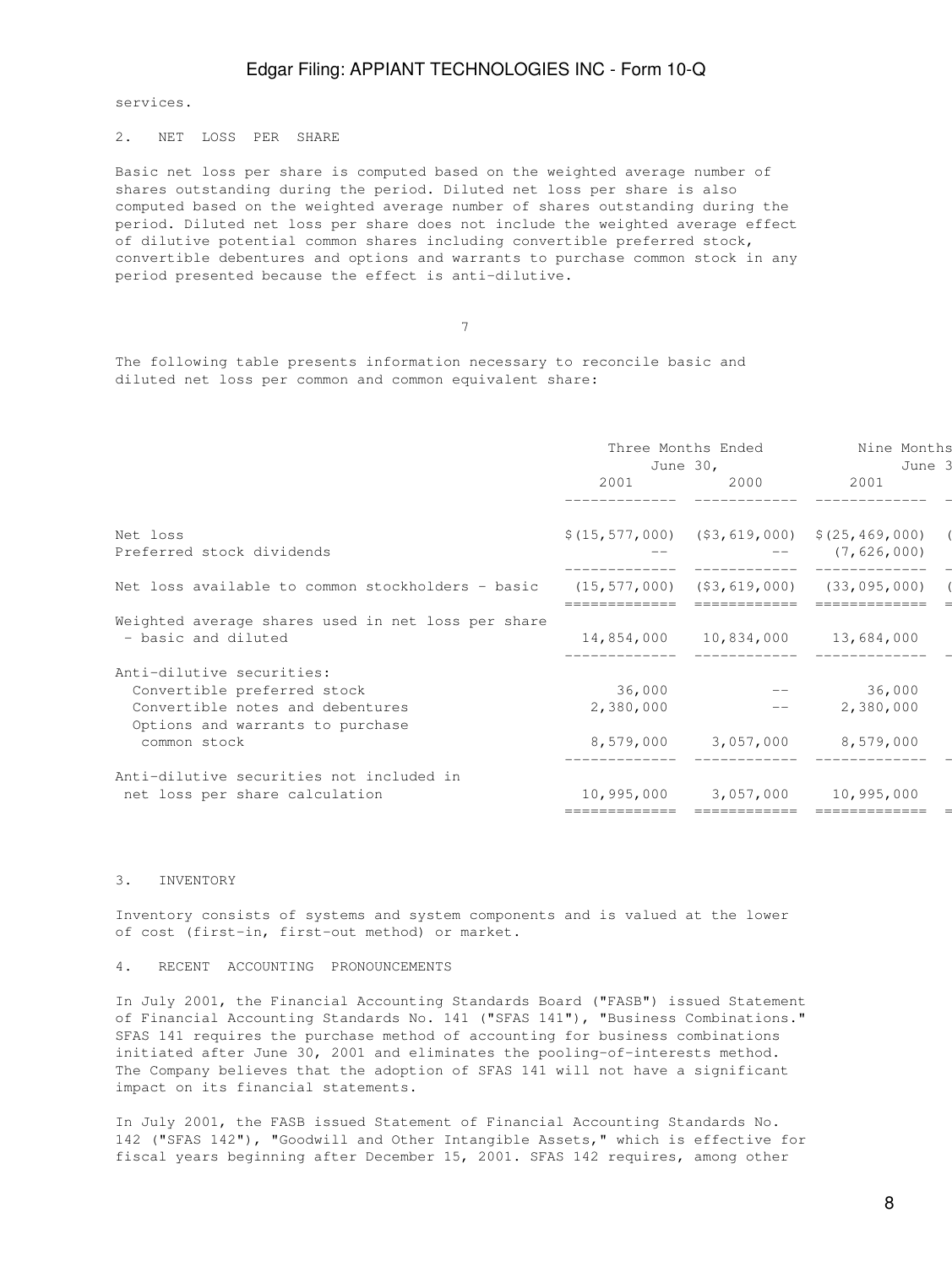services.

#### 2. NET LOSS PER SHARE

Basic net loss per share is computed based on the weighted average number of shares outstanding during the period. Diluted net loss per share is also computed based on the weighted average number of shares outstanding during the period. Diluted net loss per share does not include the weighted average effect of dilutive potential common shares including convertible preferred stock, convertible debentures and options and warrants to purchase common stock in any period presented because the effect is anti-dilutive.

7

The following table presents information necessary to reconcile basic and diluted net loss per common and common equivalent share:

|                                                    | Three Months Ended<br>June 30,                     |                                  | Nine Months<br>June 3                               |  |
|----------------------------------------------------|----------------------------------------------------|----------------------------------|-----------------------------------------------------|--|
|                                                    | 2001                                               | 2000                             | 2001                                                |  |
|                                                    |                                                    |                                  |                                                     |  |
| Net loss                                           |                                                    |                                  | $$(15, 577, 000)$ $$3, 619, 000)$ $$(25, 469, 000)$ |  |
| Preferred stock dividends                          |                                                    |                                  | $---$ (7,626,000)                                   |  |
| Net loss available to common stockholders - basic  | $(15, 577, 000)$ $(53, 619, 000)$ $(33, 095, 000)$ |                                  |                                                     |  |
| Weighted average shares used in net loss per share |                                                    |                                  |                                                     |  |
| - basic and diluted                                |                                                    | 14,854,000 10,834,000 13,684,000 |                                                     |  |
| Anti-dilutive securities:                          |                                                    |                                  |                                                     |  |
| Convertible preferred stock                        | 36,000                                             |                                  | 36,000                                              |  |
| Convertible notes and debentures                   | 2,380,000                                          | and the second control of the    | 2,380,000                                           |  |
| Options and warrants to purchase                   |                                                    |                                  |                                                     |  |
| common stock                                       |                                                    | 8,579,000 3,057,000 8,579,000    |                                                     |  |
| Anti-dilutive securities not included in           |                                                    |                                  |                                                     |  |
| net loss per share calculation                     |                                                    | 10,995,000 3,057,000 10,995,000  |                                                     |  |
|                                                    |                                                    |                                  |                                                     |  |

#### 3. INVENTORY

Inventory consists of systems and system components and is valued at the lower of cost (first-in, first-out method) or market.

#### 4. RECENT ACCOUNTING PRONOUNCEMENTS

In July 2001, the Financial Accounting Standards Board ("FASB") issued Statement of Financial Accounting Standards No. 141 ("SFAS 141"), "Business Combinations." SFAS 141 requires the purchase method of accounting for business combinations initiated after June 30, 2001 and eliminates the pooling-of-interests method. The Company believes that the adoption of SFAS 141 will not have a significant impact on its financial statements.

In July 2001, the FASB issued Statement of Financial Accounting Standards No. 142 ("SFAS 142"), "Goodwill and Other Intangible Assets," which is effective for fiscal years beginning after December 15, 2001. SFAS 142 requires, among other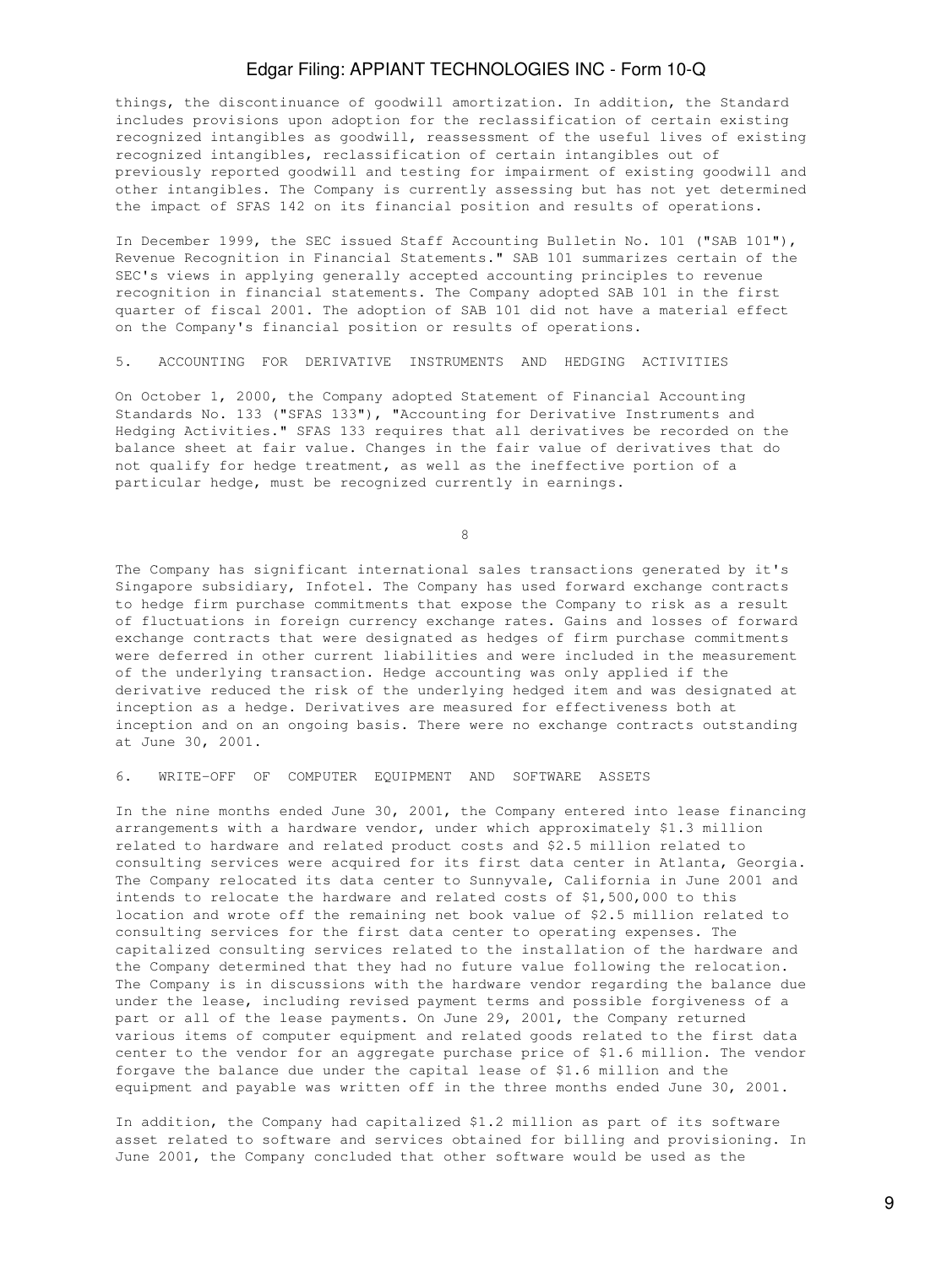things, the discontinuance of goodwill amortization. In addition, the Standard includes provisions upon adoption for the reclassification of certain existing recognized intangibles as goodwill, reassessment of the useful lives of existing recognized intangibles, reclassification of certain intangibles out of previously reported goodwill and testing for impairment of existing goodwill and other intangibles. The Company is currently assessing but has not yet determined the impact of SFAS 142 on its financial position and results of operations.

In December 1999, the SEC issued Staff Accounting Bulletin No. 101 ("SAB 101"), Revenue Recognition in Financial Statements." SAB 101 summarizes certain of the SEC's views in applying generally accepted accounting principles to revenue recognition in financial statements. The Company adopted SAB 101 in the first quarter of fiscal 2001. The adoption of SAB 101 did not have a material effect on the Company's financial position or results of operations.

### 5. ACCOUNTING FOR DERIVATIVE INSTRUMENTS AND HEDGING ACTIVITIES

On October 1, 2000, the Company adopted Statement of Financial Accounting Standards No. 133 ("SFAS 133"), "Accounting for Derivative Instruments and Hedging Activities." SFAS 133 requires that all derivatives be recorded on the balance sheet at fair value. Changes in the fair value of derivatives that do not qualify for hedge treatment, as well as the ineffective portion of a particular hedge, must be recognized currently in earnings.

en andere de la provincia de la provincia de la provincia de la provincia de la provincia de la provincia de<br>En la provincia de la provincia de la provincia de la provincia de la provincia de la provincia de la provinci

The Company has significant international sales transactions generated by it's Singapore subsidiary, Infotel. The Company has used forward exchange contracts to hedge firm purchase commitments that expose the Company to risk as a result of fluctuations in foreign currency exchange rates. Gains and losses of forward exchange contracts that were designated as hedges of firm purchase commitments were deferred in other current liabilities and were included in the measurement of the underlying transaction. Hedge accounting was only applied if the derivative reduced the risk of the underlying hedged item and was designated at inception as a hedge. Derivatives are measured for effectiveness both at inception and on an ongoing basis. There were no exchange contracts outstanding at June 30, 2001.

#### 6. WRITE-OFF OF COMPUTER EQUIPMENT AND SOFTWARE ASSETS

In the nine months ended June 30, 2001, the Company entered into lease financing arrangements with a hardware vendor, under which approximately \$1.3 million related to hardware and related product costs and \$2.5 million related to consulting services were acquired for its first data center in Atlanta, Georgia. The Company relocated its data center to Sunnyvale, California in June 2001 and intends to relocate the hardware and related costs of \$1,500,000 to this location and wrote off the remaining net book value of \$2.5 million related to consulting services for the first data center to operating expenses. The capitalized consulting services related to the installation of the hardware and the Company determined that they had no future value following the relocation. The Company is in discussions with the hardware vendor regarding the balance due under the lease, including revised payment terms and possible forgiveness of a part or all of the lease payments. On June 29, 2001, the Company returned various items of computer equipment and related goods related to the first data center to the vendor for an aggregate purchase price of \$1.6 million. The vendor forgave the balance due under the capital lease of \$1.6 million and the equipment and payable was written off in the three months ended June 30, 2001.

In addition, the Company had capitalized \$1.2 million as part of its software asset related to software and services obtained for billing and provisioning. In June 2001, the Company concluded that other software would be used as the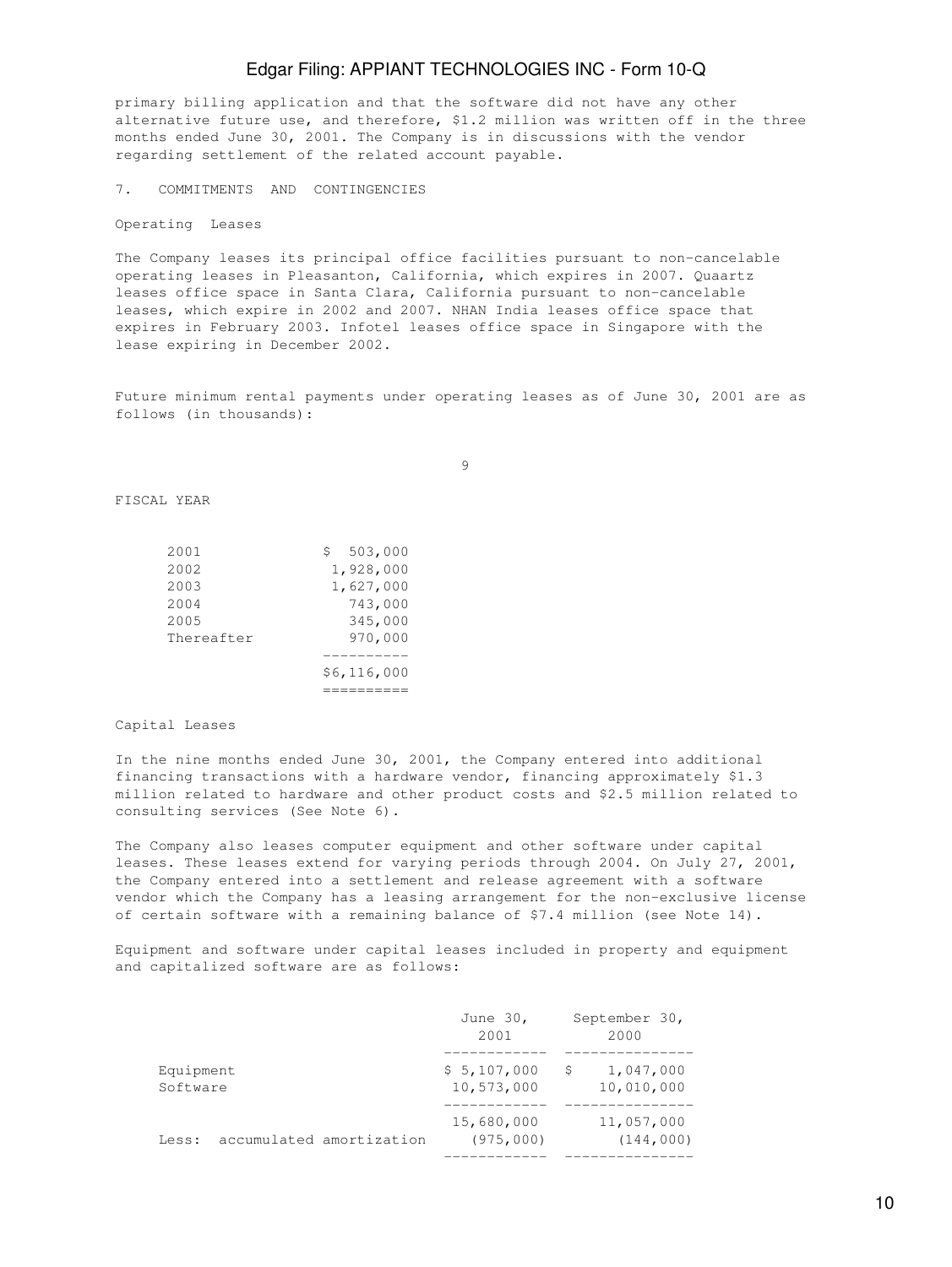primary billing application and that the software did not have any other alternative future use, and therefore, \$1.2 million was written off in the three months ended June 30, 2001. The Company is in discussions with the vendor regarding settlement of the related account payable.

7. COMMITMENTS AND CONTINGENCIES

Operating Leases

The Company leases its principal office facilities pursuant to non-cancelable operating leases in Pleasanton, California, which expires in 2007. Quaartz leases office space in Santa Clara, California pursuant to non-cancelable leases, which expire in 2002 and 2007. NHAN India leases office space that expires in February 2003. Infotel leases office space in Singapore with the lease expiring in December 2002.

Future minimum rental payments under operating leases as of June 30, 2001 are as follows (in thousands):

9

FISCAL YEAR

| 2001       | 503,000<br>S. |
|------------|---------------|
| 2002       | 1,928,000     |
| 2003       | 1,627,000     |
| 2004       | 743,000       |
| 2005       | 345,000       |
| Thereafter | 970,000       |
|            |               |
|            | \$6,116,000   |
|            |               |

#### Capital Leases

In the nine months ended June 30, 2001, the Company entered into additional financing transactions with a hardware vendor, financing approximately \$1.3 million related to hardware and other product costs and \$2.5 million related to consulting services (See Note 6).

The Company also leases computer equipment and other software under capital leases. These leases extend for varying periods through 2004. On July 27, 2001, the Company entered into a settlement and release agreement with a software vendor which the Company has a leasing arrangement for the non-exclusive license of certain software with a remaining balance of \$7.4 million (see Note 14).

Equipment and software under capital leases included in property and equipment and capitalized software are as follows:

|                       |                          | June 30,<br>2001          |   | September 30,<br>2000    |
|-----------------------|--------------------------|---------------------------|---|--------------------------|
| Equipment<br>Software |                          | \$5,107,000<br>10,573,000 | S | 1,047,000<br>10,010,000  |
| Less:                 | accumulated amortization | 15,680,000<br>(975,000)   |   | 11,057,000<br>(144, 000) |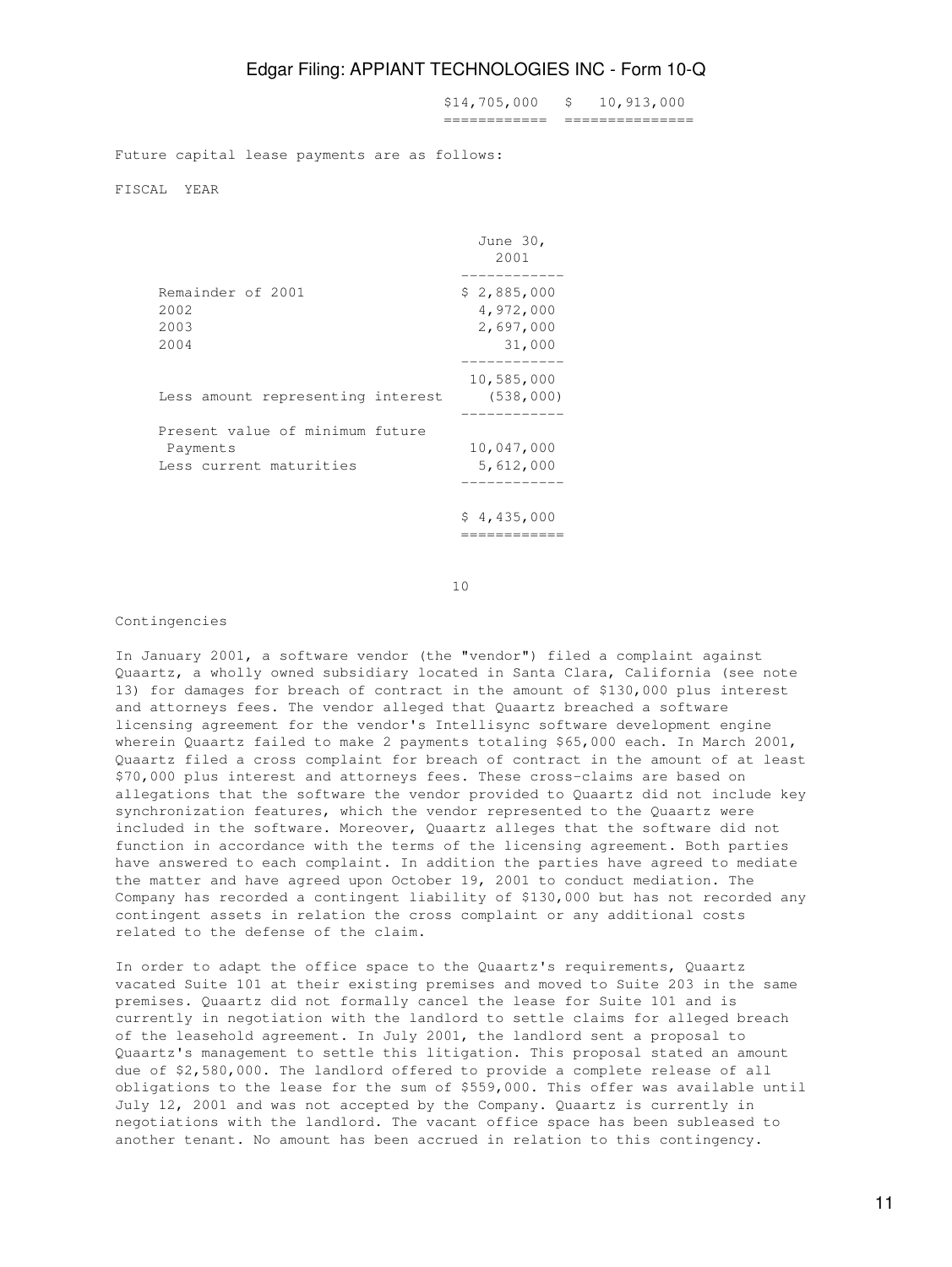\$14,705,000 \$ 10,913,000 ============ ===============

Future capital lease payments are as follows:

FISCAL YEAR

|                                                                        | June 30,<br>2001                                |
|------------------------------------------------------------------------|-------------------------------------------------|
| Remainder of 2001<br>2002<br>2003<br>2004                              | \$2,885,000<br>4,972,000<br>2,697,000<br>31,000 |
| Less amount representing interest                                      | 10,585,000<br>(538, 000)                        |
| Present value of minimum future<br>Payments<br>Less current maturities | 10,047,000<br>5,612,000                         |
|                                                                        | \$4,435,000                                     |

10

#### Contingencies

In January 2001, a software vendor (the "vendor") filed a complaint against Quaartz, a wholly owned subsidiary located in Santa Clara, California (see note 13) for damages for breach of contract in the amount of \$130,000 plus interest and attorneys fees. The vendor alleged that Quaartz breached a software licensing agreement for the vendor's Intellisync software development engine wherein Quaartz failed to make 2 payments totaling \$65,000 each. In March 2001, Quaartz filed a cross complaint for breach of contract in the amount of at least \$70,000 plus interest and attorneys fees. These cross-claims are based on allegations that the software the vendor provided to Quaartz did not include key synchronization features, which the vendor represented to the Quaartz were included in the software. Moreover, Quaartz alleges that the software did not function in accordance with the terms of the licensing agreement. Both parties have answered to each complaint. In addition the parties have agreed to mediate the matter and have agreed upon October 19, 2001 to conduct mediation. The Company has recorded a contingent liability of \$130,000 but has not recorded any contingent assets in relation the cross complaint or any additional costs related to the defense of the claim.

In order to adapt the office space to the Quaartz's requirements, Quaartz vacated Suite 101 at their existing premises and moved to Suite 203 in the same premises. Quaartz did not formally cancel the lease for Suite 101 and is currently in negotiation with the landlord to settle claims for alleged breach of the leasehold agreement. In July 2001, the landlord sent a proposal to Quaartz's management to settle this litigation. This proposal stated an amount due of \$2,580,000. The landlord offered to provide a complete release of all obligations to the lease for the sum of \$559,000. This offer was available until July 12, 2001 and was not accepted by the Company. Quaartz is currently in negotiations with the landlord. The vacant office space has been subleased to another tenant. No amount has been accrued in relation to this contingency.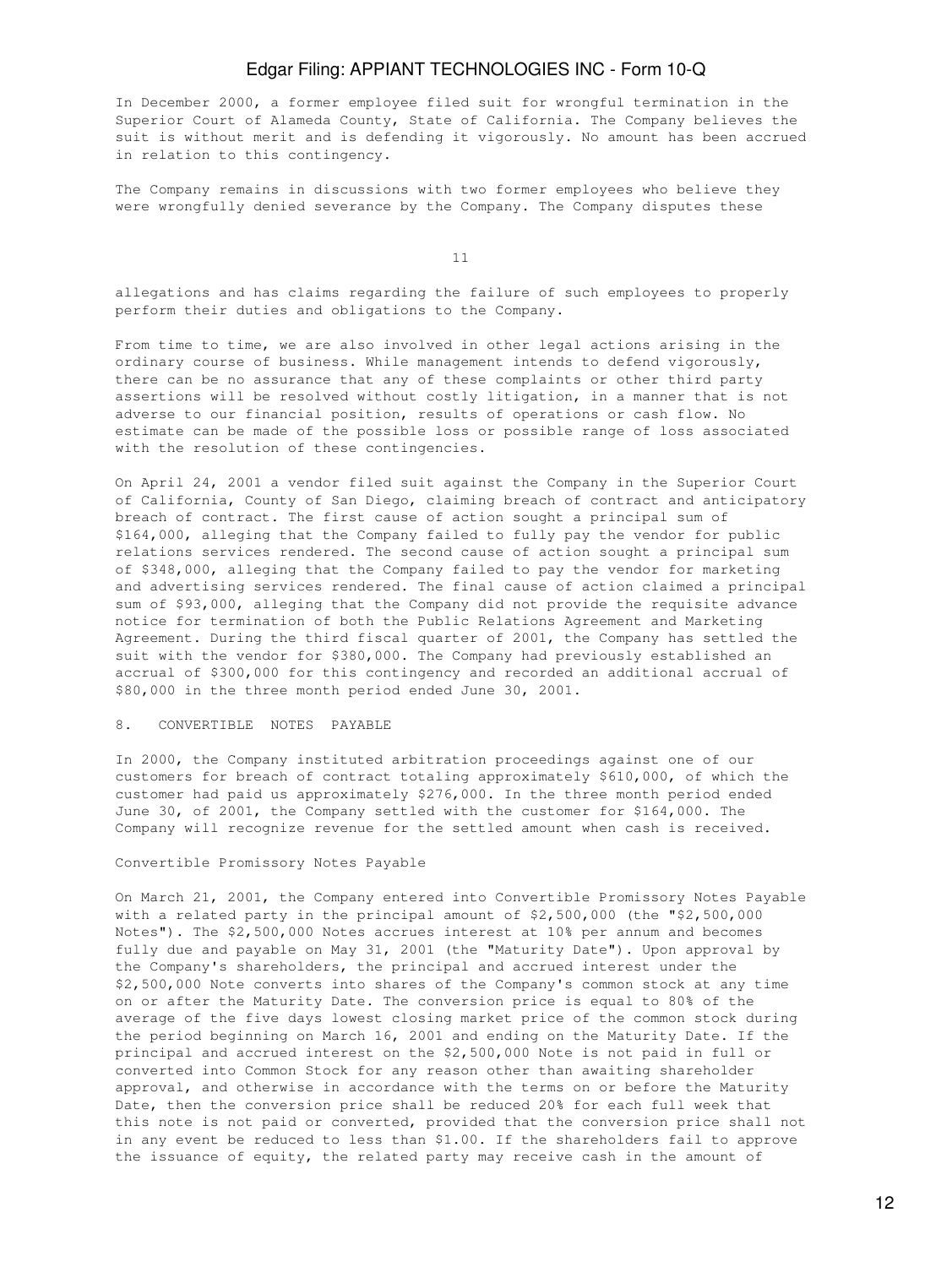In December 2000, a former employee filed suit for wrongful termination in the Superior Court of Alameda County, State of California. The Company believes the suit is without merit and is defending it vigorously. No amount has been accrued in relation to this contingency.

The Company remains in discussions with two former employees who believe they were wrongfully denied severance by the Company. The Company disputes these

11

allegations and has claims regarding the failure of such employees to properly perform their duties and obligations to the Company.

From time to time, we are also involved in other legal actions arising in the ordinary course of business. While management intends to defend vigorously, there can be no assurance that any of these complaints or other third party assertions will be resolved without costly litigation, in a manner that is not adverse to our financial position, results of operations or cash flow. No estimate can be made of the possible loss or possible range of loss associated with the resolution of these contingencies.

On April 24, 2001 a vendor filed suit against the Company in the Superior Court of California, County of San Diego, claiming breach of contract and anticipatory breach of contract. The first cause of action sought a principal sum of \$164,000, alleging that the Company failed to fully pay the vendor for public relations services rendered. The second cause of action sought a principal sum of \$348,000, alleging that the Company failed to pay the vendor for marketing and advertising services rendered. The final cause of action claimed a principal sum of \$93,000, alleging that the Company did not provide the requisite advance notice for termination of both the Public Relations Agreement and Marketing Agreement. During the third fiscal quarter of 2001, the Company has settled the suit with the vendor for \$380,000. The Company had previously established an accrual of \$300,000 for this contingency and recorded an additional accrual of \$80,000 in the three month period ended June 30, 2001.

#### 8. CONVERTIBLE NOTES PAYABLE

In 2000, the Company instituted arbitration proceedings against one of our customers for breach of contract totaling approximately \$610,000, of which the customer had paid us approximately \$276,000. In the three month period ended June 30, of 2001, the Company settled with the customer for \$164,000. The Company will recognize revenue for the settled amount when cash is received.

#### Convertible Promissory Notes Payable

On March 21, 2001, the Company entered into Convertible Promissory Notes Payable with a related party in the principal amount of \$2,500,000 (the "\$2,500,000 Notes"). The \$2,500,000 Notes accrues interest at 10% per annum and becomes fully due and payable on May 31, 2001 (the "Maturity Date"). Upon approval by the Company's shareholders, the principal and accrued interest under the \$2,500,000 Note converts into shares of the Company's common stock at any time on or after the Maturity Date. The conversion price is equal to 80% of the average of the five days lowest closing market price of the common stock during the period beginning on March 16, 2001 and ending on the Maturity Date. If the principal and accrued interest on the \$2,500,000 Note is not paid in full or converted into Common Stock for any reason other than awaiting shareholder approval, and otherwise in accordance with the terms on or before the Maturity Date, then the conversion price shall be reduced 20% for each full week that this note is not paid or converted, provided that the conversion price shall not in any event be reduced to less than \$1.00. If the shareholders fail to approve the issuance of equity, the related party may receive cash in the amount of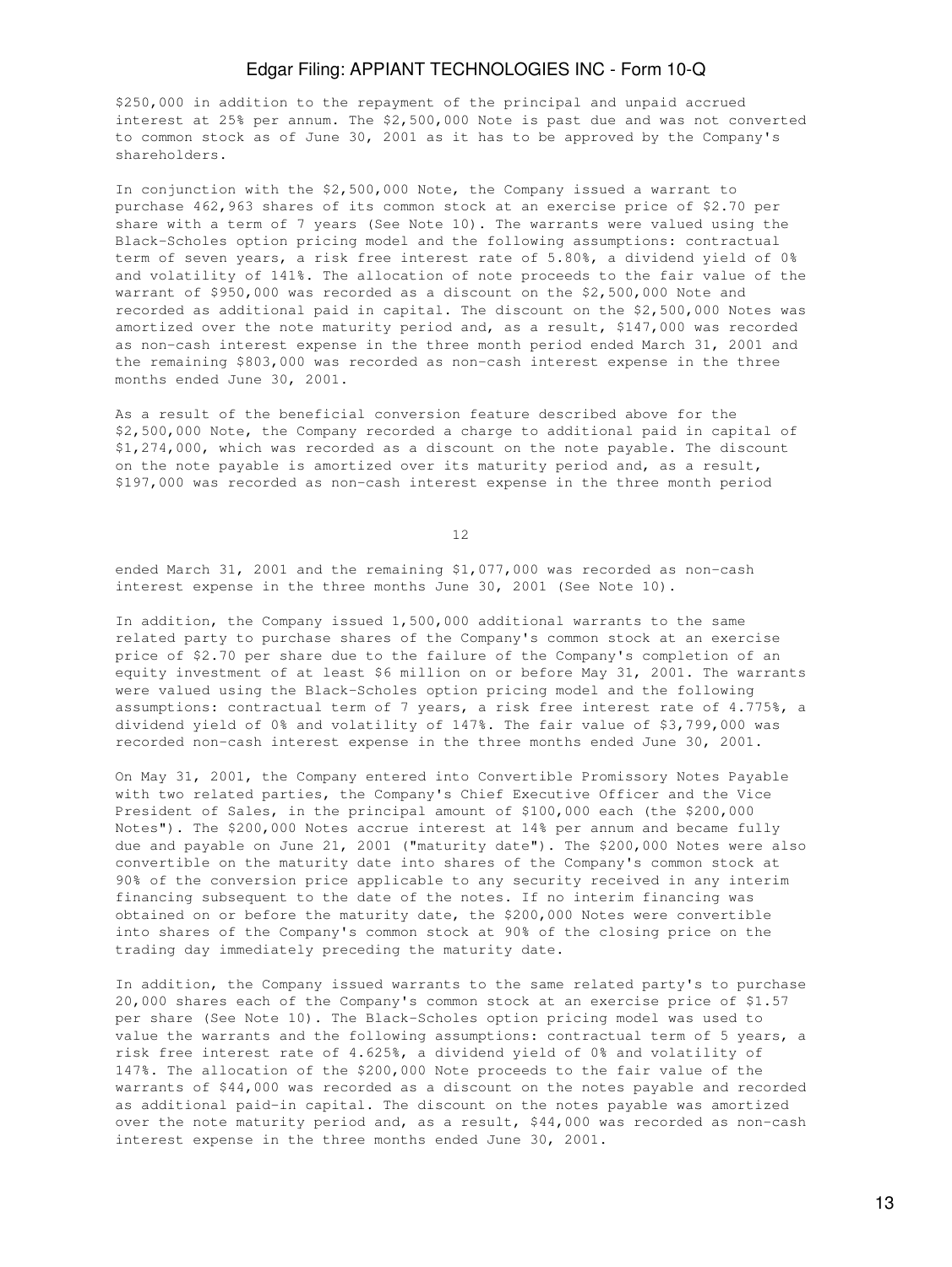\$250,000 in addition to the repayment of the principal and unpaid accrued interest at 25% per annum. The \$2,500,000 Note is past due and was not converted to common stock as of June 30, 2001 as it has to be approved by the Company's shareholders.

In conjunction with the \$2,500,000 Note, the Company issued a warrant to purchase 462,963 shares of its common stock at an exercise price of \$2.70 per share with a term of 7 years (See Note 10). The warrants were valued using the Black-Scholes option pricing model and the following assumptions: contractual term of seven years, a risk free interest rate of 5.80%, a dividend yield of 0% and volatility of 141%. The allocation of note proceeds to the fair value of the warrant of \$950,000 was recorded as a discount on the \$2,500,000 Note and recorded as additional paid in capital. The discount on the \$2,500,000 Notes was amortized over the note maturity period and, as a result, \$147,000 was recorded as non-cash interest expense in the three month period ended March 31, 2001 and the remaining \$803,000 was recorded as non-cash interest expense in the three months ended June 30, 2001.

As a result of the beneficial conversion feature described above for the \$2,500,000 Note, the Company recorded a charge to additional paid in capital of \$1,274,000, which was recorded as a discount on the note payable. The discount on the note payable is amortized over its maturity period and, as a result, \$197,000 was recorded as non-cash interest expense in the three month period

12

ended March 31, 2001 and the remaining \$1,077,000 was recorded as non-cash interest expense in the three months June 30, 2001 (See Note 10).

In addition, the Company issued 1,500,000 additional warrants to the same related party to purchase shares of the Company's common stock at an exercise price of \$2.70 per share due to the failure of the Company's completion of an equity investment of at least \$6 million on or before May 31, 2001. The warrants were valued using the Black-Scholes option pricing model and the following assumptions: contractual term of 7 years, a risk free interest rate of 4.775%, a dividend yield of 0% and volatility of 147%. The fair value of \$3,799,000 was recorded non-cash interest expense in the three months ended June 30, 2001.

On May 31, 2001, the Company entered into Convertible Promissory Notes Payable with two related parties, the Company's Chief Executive Officer and the Vice President of Sales, in the principal amount of \$100,000 each (the \$200,000 Notes"). The \$200,000 Notes accrue interest at 14% per annum and became fully due and payable on June 21, 2001 ("maturity date"). The \$200,000 Notes were also convertible on the maturity date into shares of the Company's common stock at 90% of the conversion price applicable to any security received in any interim financing subsequent to the date of the notes. If no interim financing was obtained on or before the maturity date, the \$200,000 Notes were convertible into shares of the Company's common stock at 90% of the closing price on the trading day immediately preceding the maturity date.

In addition, the Company issued warrants to the same related party's to purchase 20,000 shares each of the Company's common stock at an exercise price of \$1.57 per share (See Note 10). The Black-Scholes option pricing model was used to value the warrants and the following assumptions: contractual term of 5 years, a risk free interest rate of 4.625%, a dividend yield of 0% and volatility of 147%. The allocation of the \$200,000 Note proceeds to the fair value of the warrants of \$44,000 was recorded as a discount on the notes payable and recorded as additional paid-in capital. The discount on the notes payable was amortized over the note maturity period and, as a result, \$44,000 was recorded as non-cash interest expense in the three months ended June 30, 2001.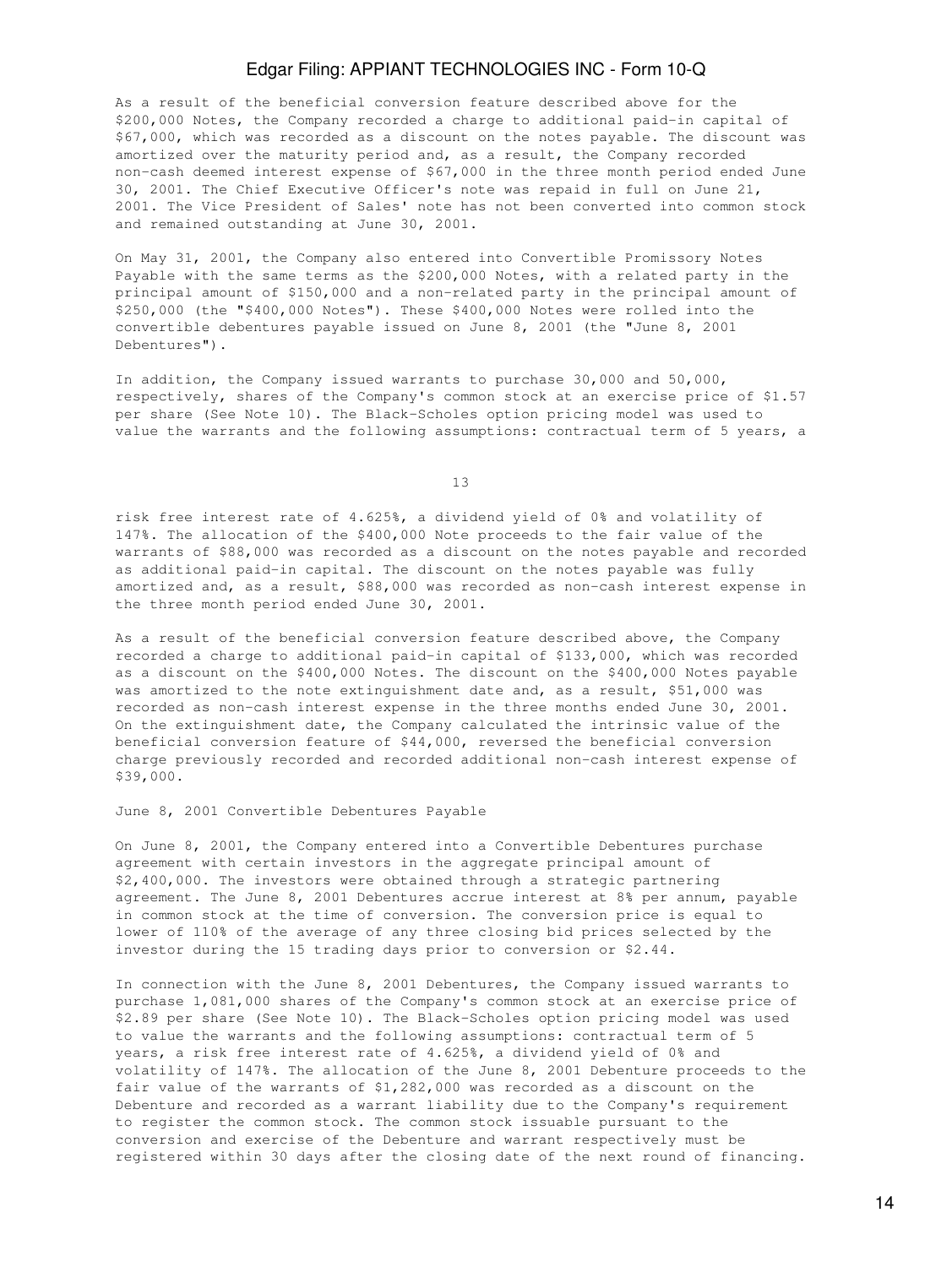As a result of the beneficial conversion feature described above for the \$200,000 Notes, the Company recorded a charge to additional paid-in capital of \$67,000, which was recorded as a discount on the notes payable. The discount was amortized over the maturity period and, as a result, the Company recorded non-cash deemed interest expense of \$67,000 in the three month period ended June 30, 2001. The Chief Executive Officer's note was repaid in full on June 21, 2001. The Vice President of Sales' note has not been converted into common stock and remained outstanding at June 30, 2001.

On May 31, 2001, the Company also entered into Convertible Promissory Notes Payable with the same terms as the \$200,000 Notes, with a related party in the principal amount of \$150,000 and a non-related party in the principal amount of \$250,000 (the "\$400,000 Notes"). These \$400,000 Notes were rolled into the convertible debentures payable issued on June 8, 2001 (the "June 8, 2001 Debentures").

In addition, the Company issued warrants to purchase 30,000 and 50,000, respectively, shares of the Company's common stock at an exercise price of \$1.57 per share (See Note 10). The Black-Scholes option pricing model was used to value the warrants and the following assumptions: contractual term of 5 years, a

13

risk free interest rate of 4.625%, a dividend yield of 0% and volatility of 147%. The allocation of the \$400,000 Note proceeds to the fair value of the warrants of \$88,000 was recorded as a discount on the notes payable and recorded as additional paid-in capital. The discount on the notes payable was fully amortized and, as a result, \$88,000 was recorded as non-cash interest expense in the three month period ended June 30, 2001.

As a result of the beneficial conversion feature described above, the Company recorded a charge to additional paid-in capital of \$133,000, which was recorded as a discount on the \$400,000 Notes. The discount on the \$400,000 Notes payable was amortized to the note extinguishment date and, as a result, \$51,000 was recorded as non-cash interest expense in the three months ended June 30, 2001. On the extinguishment date, the Company calculated the intrinsic value of the beneficial conversion feature of \$44,000, reversed the beneficial conversion charge previously recorded and recorded additional non-cash interest expense of \$39,000.

June 8, 2001 Convertible Debentures Payable

On June 8, 2001, the Company entered into a Convertible Debentures purchase agreement with certain investors in the aggregate principal amount of \$2,400,000. The investors were obtained through a strategic partnering agreement. The June 8, 2001 Debentures accrue interest at 8% per annum, payable in common stock at the time of conversion. The conversion price is equal to lower of 110% of the average of any three closing bid prices selected by the investor during the 15 trading days prior to conversion or \$2.44.

In connection with the June 8, 2001 Debentures, the Company issued warrants to purchase 1,081,000 shares of the Company's common stock at an exercise price of \$2.89 per share (See Note 10). The Black-Scholes option pricing model was used to value the warrants and the following assumptions: contractual term of 5 years, a risk free interest rate of 4.625%, a dividend yield of 0% and volatility of 147%. The allocation of the June 8, 2001 Debenture proceeds to the fair value of the warrants of \$1,282,000 was recorded as a discount on the Debenture and recorded as a warrant liability due to the Company's requirement to register the common stock. The common stock issuable pursuant to the conversion and exercise of the Debenture and warrant respectively must be registered within 30 days after the closing date of the next round of financing.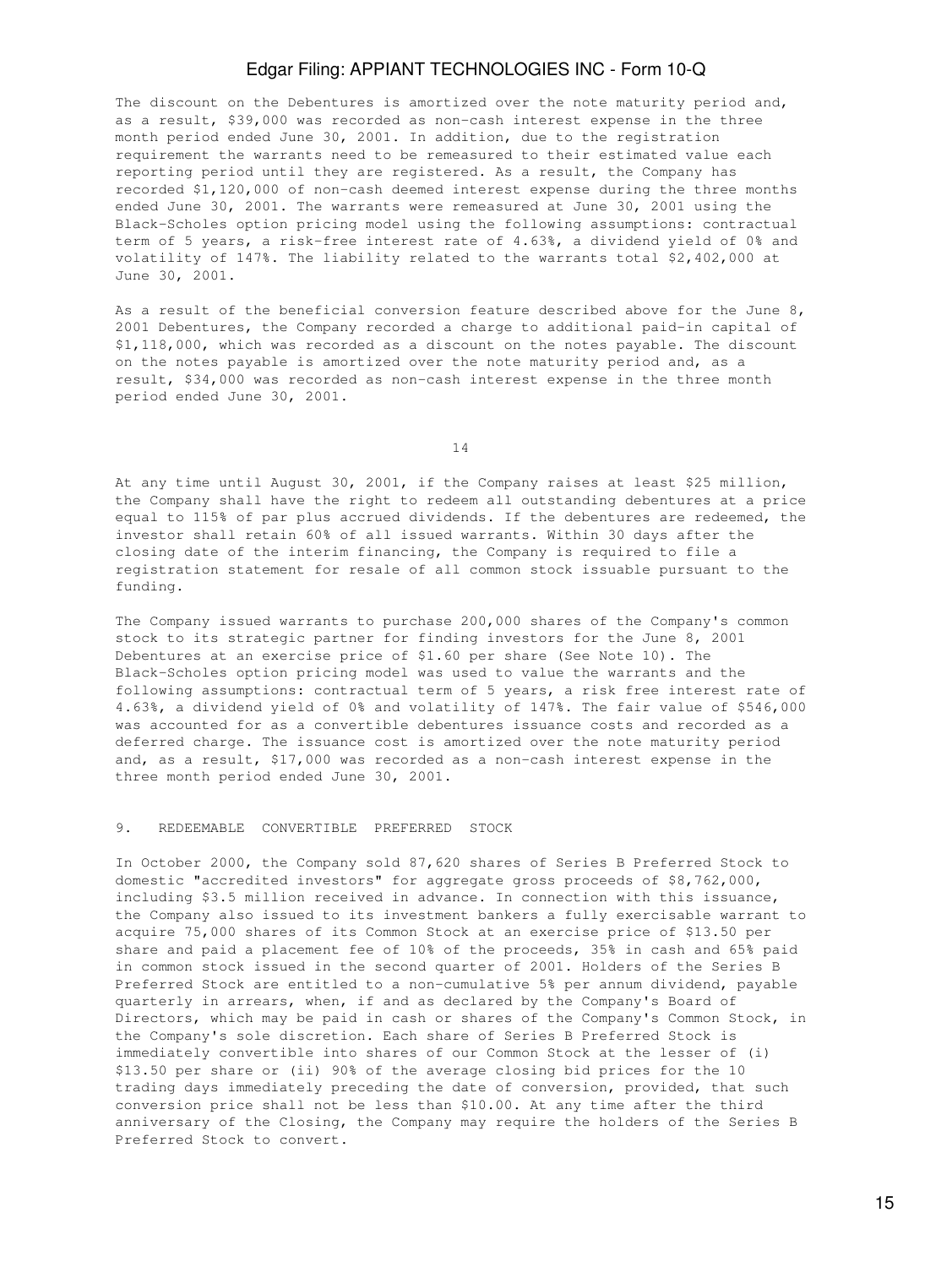The discount on the Debentures is amortized over the note maturity period and, as a result, \$39,000 was recorded as non-cash interest expense in the three month period ended June 30, 2001. In addition, due to the registration requirement the warrants need to be remeasured to their estimated value each reporting period until they are registered. As a result, the Company has recorded \$1,120,000 of non-cash deemed interest expense during the three months ended June 30, 2001. The warrants were remeasured at June 30, 2001 using the Black-Scholes option pricing model using the following assumptions: contractual term of 5 years, a risk-free interest rate of 4.63%, a dividend yield of 0% and volatility of 147%. The liability related to the warrants total \$2,402,000 at June 30, 2001.

As a result of the beneficial conversion feature described above for the June 8, 2001 Debentures, the Company recorded a charge to additional paid-in capital of \$1,118,000, which was recorded as a discount on the notes payable. The discount on the notes payable is amortized over the note maturity period and, as a result, \$34,000 was recorded as non-cash interest expense in the three month period ended June 30, 2001.

14

At any time until August 30, 2001, if the Company raises at least \$25 million, the Company shall have the right to redeem all outstanding debentures at a price equal to 115% of par plus accrued dividends. If the debentures are redeemed, the investor shall retain 60% of all issued warrants. Within 30 days after the closing date of the interim financing, the Company is required to file a registration statement for resale of all common stock issuable pursuant to the funding.

The Company issued warrants to purchase 200,000 shares of the Company's common stock to its strategic partner for finding investors for the June 8, 2001 Debentures at an exercise price of \$1.60 per share (See Note 10). The Black-Scholes option pricing model was used to value the warrants and the following assumptions: contractual term of 5 years, a risk free interest rate of 4.63%, a dividend yield of 0% and volatility of 147%. The fair value of \$546,000 was accounted for as a convertible debentures issuance costs and recorded as a deferred charge. The issuance cost is amortized over the note maturity period and, as a result, \$17,000 was recorded as a non-cash interest expense in the three month period ended June 30, 2001.

#### 9. REDEEMABLE CONVERTIBLE PREFERRED STOCK

In October 2000, the Company sold 87,620 shares of Series B Preferred Stock to domestic "accredited investors" for aggregate gross proceeds of \$8,762,000, including \$3.5 million received in advance. In connection with this issuance, the Company also issued to its investment bankers a fully exercisable warrant to acquire 75,000 shares of its Common Stock at an exercise price of \$13.50 per share and paid a placement fee of 10% of the proceeds, 35% in cash and 65% paid in common stock issued in the second quarter of 2001. Holders of the Series B Preferred Stock are entitled to a non-cumulative 5% per annum dividend, payable quarterly in arrears, when, if and as declared by the Company's Board of Directors, which may be paid in cash or shares of the Company's Common Stock, in the Company's sole discretion. Each share of Series B Preferred Stock is immediately convertible into shares of our Common Stock at the lesser of (i) \$13.50 per share or (ii) 90% of the average closing bid prices for the 10 trading days immediately preceding the date of conversion, provided, that such conversion price shall not be less than \$10.00. At any time after the third anniversary of the Closing, the Company may require the holders of the Series B Preferred Stock to convert.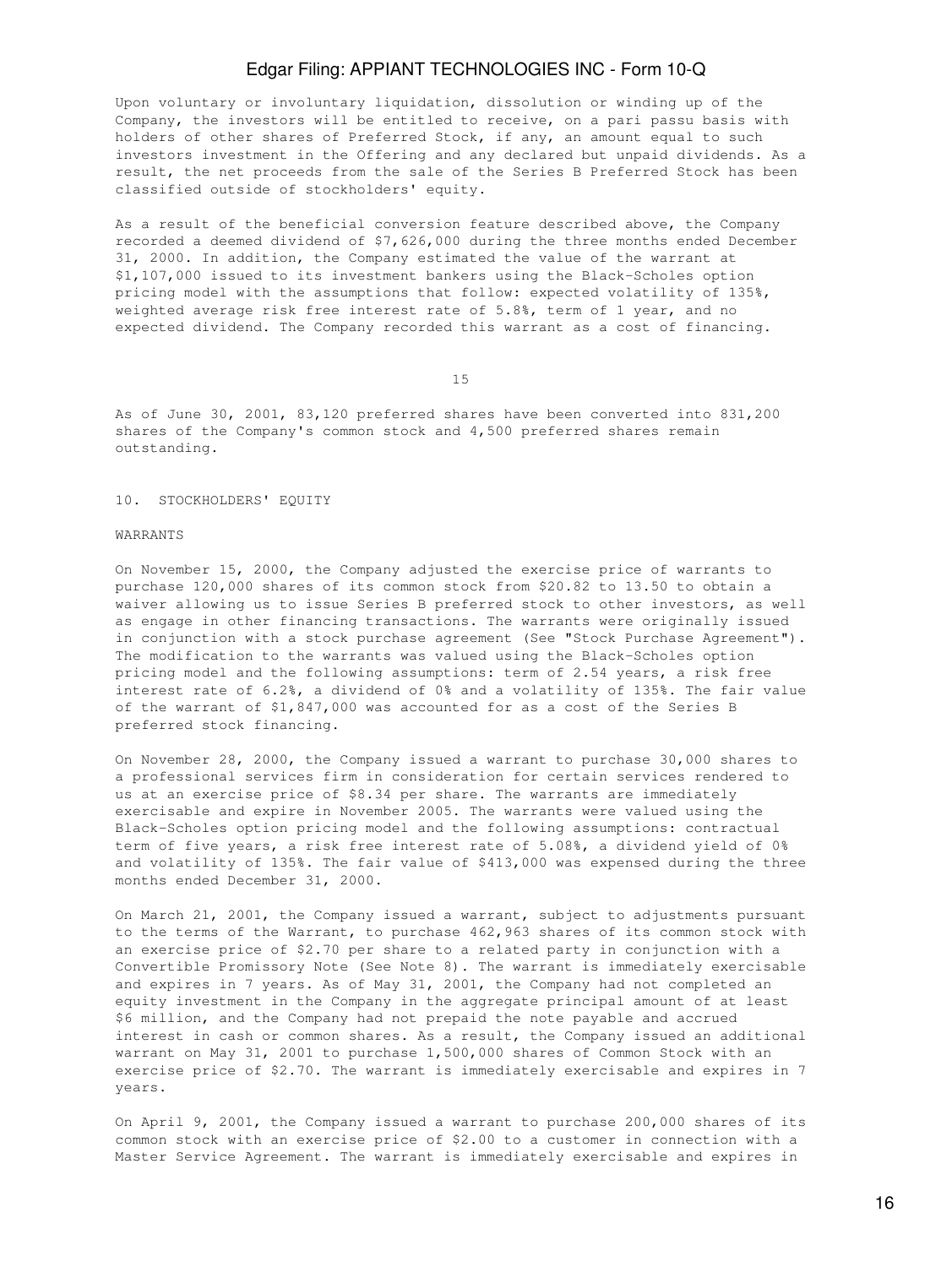Upon voluntary or involuntary liquidation, dissolution or winding up of the Company, the investors will be entitled to receive, on a pari passu basis with holders of other shares of Preferred Stock, if any, an amount equal to such investors investment in the Offering and any declared but unpaid dividends. As a result, the net proceeds from the sale of the Series B Preferred Stock has been classified outside of stockholders' equity.

As a result of the beneficial conversion feature described above, the Company recorded a deemed dividend of \$7,626,000 during the three months ended December 31, 2000. In addition, the Company estimated the value of the warrant at \$1,107,000 issued to its investment bankers using the Black-Scholes option pricing model with the assumptions that follow: expected volatility of 135%, weighted average risk free interest rate of 5.8%, term of 1 year, and no expected dividend. The Company recorded this warrant as a cost of financing.

15

As of June 30, 2001, 83,120 preferred shares have been converted into 831,200 shares of the Company's common stock and 4,500 preferred shares remain outstanding.

#### 10. STOCKHOLDERS' EQUITY

#### WARRANTS

On November 15, 2000, the Company adjusted the exercise price of warrants to purchase 120,000 shares of its common stock from \$20.82 to 13.50 to obtain a waiver allowing us to issue Series B preferred stock to other investors, as well as engage in other financing transactions. The warrants were originally issued in conjunction with a stock purchase agreement (See "Stock Purchase Agreement"). The modification to the warrants was valued using the Black-Scholes option pricing model and the following assumptions: term of 2.54 years, a risk free interest rate of 6.2%, a dividend of 0% and a volatility of 135%. The fair value of the warrant of \$1,847,000 was accounted for as a cost of the Series B preferred stock financing.

On November 28, 2000, the Company issued a warrant to purchase 30,000 shares to a professional services firm in consideration for certain services rendered to us at an exercise price of \$8.34 per share. The warrants are immediately exercisable and expire in November 2005. The warrants were valued using the Black-Scholes option pricing model and the following assumptions: contractual term of five years, a risk free interest rate of 5.08%, a dividend yield of 0% and volatility of 135%. The fair value of \$413,000 was expensed during the three months ended December 31, 2000.

On March 21, 2001, the Company issued a warrant, subject to adjustments pursuant to the terms of the Warrant, to purchase 462,963 shares of its common stock with an exercise price of \$2.70 per share to a related party in conjunction with a Convertible Promissory Note (See Note 8). The warrant is immediately exercisable and expires in 7 years. As of May 31, 2001, the Company had not completed an equity investment in the Company in the aggregate principal amount of at least \$6 million, and the Company had not prepaid the note payable and accrued interest in cash or common shares. As a result, the Company issued an additional warrant on May 31, 2001 to purchase 1,500,000 shares of Common Stock with an exercise price of \$2.70. The warrant is immediately exercisable and expires in 7 years.

On April 9, 2001, the Company issued a warrant to purchase 200,000 shares of its common stock with an exercise price of \$2.00 to a customer in connection with a Master Service Agreement. The warrant is immediately exercisable and expires in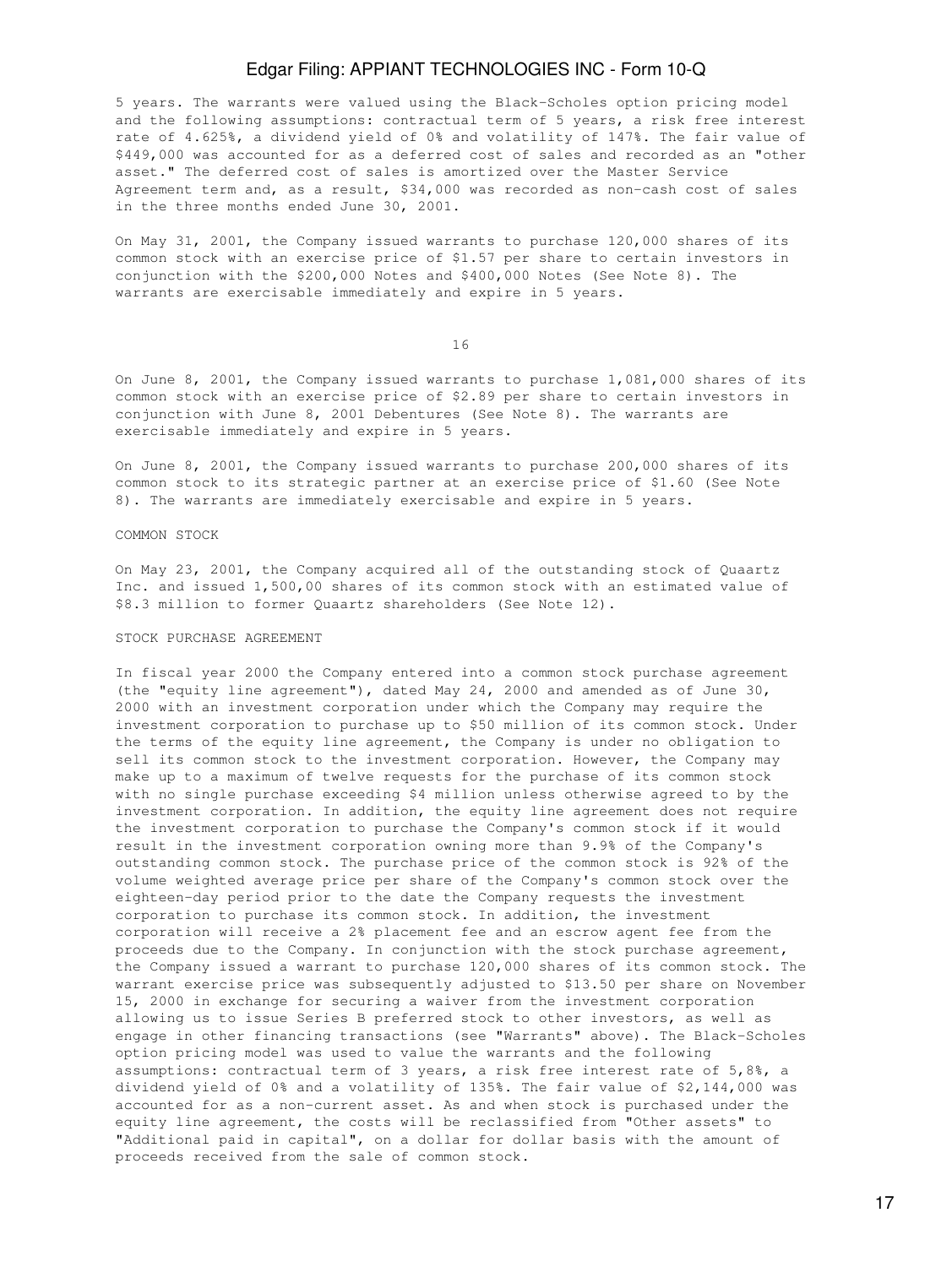5 years. The warrants were valued using the Black-Scholes option pricing model and the following assumptions: contractual term of 5 years, a risk free interest rate of 4.625%, a dividend yield of 0% and volatility of 147%. The fair value of \$449,000 was accounted for as a deferred cost of sales and recorded as an "other asset." The deferred cost of sales is amortized over the Master Service Agreement term and, as a result, \$34,000 was recorded as non-cash cost of sales in the three months ended June 30, 2001.

On May 31, 2001, the Company issued warrants to purchase 120,000 shares of its common stock with an exercise price of \$1.57 per share to certain investors in conjunction with the \$200,000 Notes and \$400,000 Notes (See Note 8). The warrants are exercisable immediately and expire in 5 years.

16

On June 8, 2001, the Company issued warrants to purchase 1,081,000 shares of its common stock with an exercise price of \$2.89 per share to certain investors in conjunction with June 8, 2001 Debentures (See Note 8). The warrants are exercisable immediately and expire in 5 years.

On June 8, 2001, the Company issued warrants to purchase 200,000 shares of its common stock to its strategic partner at an exercise price of \$1.60 (See Note 8). The warrants are immediately exercisable and expire in 5 years.

#### COMMON STOCK

On May 23, 2001, the Company acquired all of the outstanding stock of Quaartz Inc. and issued 1,500,00 shares of its common stock with an estimated value of \$8.3 million to former Quaartz shareholders (See Note 12).

#### STOCK PURCHASE AGREEMENT

In fiscal year 2000 the Company entered into a common stock purchase agreement (the "equity line agreement"), dated May 24, 2000 and amended as of June 30, 2000 with an investment corporation under which the Company may require the investment corporation to purchase up to \$50 million of its common stock. Under the terms of the equity line agreement, the Company is under no obligation to sell its common stock to the investment corporation. However, the Company may make up to a maximum of twelve requests for the purchase of its common stock with no single purchase exceeding \$4 million unless otherwise agreed to by the investment corporation. In addition, the equity line agreement does not require the investment corporation to purchase the Company's common stock if it would result in the investment corporation owning more than 9.9% of the Company's outstanding common stock. The purchase price of the common stock is 92% of the volume weighted average price per share of the Company's common stock over the eighteen-day period prior to the date the Company requests the investment corporation to purchase its common stock. In addition, the investment corporation will receive a 2% placement fee and an escrow agent fee from the proceeds due to the Company. In conjunction with the stock purchase agreement, the Company issued a warrant to purchase 120,000 shares of its common stock. The warrant exercise price was subsequently adjusted to \$13.50 per share on November 15, 2000 in exchange for securing a waiver from the investment corporation allowing us to issue Series B preferred stock to other investors, as well as engage in other financing transactions (see "Warrants" above). The Black-Scholes option pricing model was used to value the warrants and the following assumptions: contractual term of 3 years, a risk free interest rate of 5,8%, a dividend yield of 0% and a volatility of 135%. The fair value of \$2,144,000 was accounted for as a non-current asset. As and when stock is purchased under the equity line agreement, the costs will be reclassified from "Other assets" to "Additional paid in capital", on a dollar for dollar basis with the amount of proceeds received from the sale of common stock.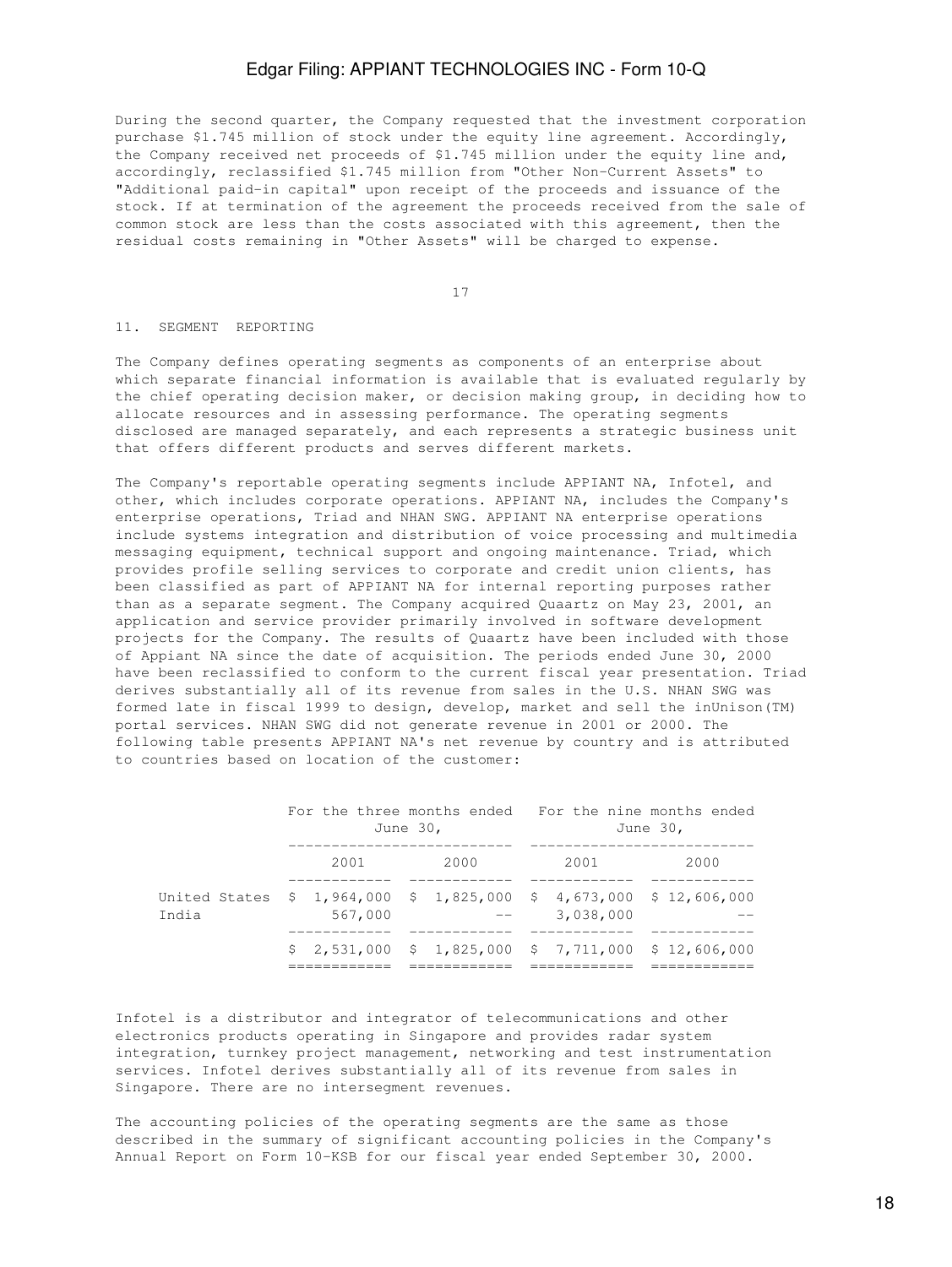During the second quarter, the Company requested that the investment corporation purchase \$1.745 million of stock under the equity line agreement. Accordingly, the Company received net proceeds of \$1.745 million under the equity line and, accordingly, reclassified \$1.745 million from "Other Non-Current Assets" to "Additional paid-in capital" upon receipt of the proceeds and issuance of the stock. If at termination of the agreement the proceeds received from the sale of common stock are less than the costs associated with this agreement, then the residual costs remaining in "Other Assets" will be charged to expense.

17

### 11. SEGMENT REPORTING

The Company defines operating segments as components of an enterprise about which separate financial information is available that is evaluated regularly by the chief operating decision maker, or decision making group, in deciding how to allocate resources and in assessing performance. The operating segments disclosed are managed separately, and each represents a strategic business unit that offers different products and serves different markets.

The Company's reportable operating segments include APPIANT NA, Infotel, and other, which includes corporate operations. APPIANT NA, includes the Company's enterprise operations, Triad and NHAN SWG. APPIANT NA enterprise operations include systems integration and distribution of voice processing and multimedia messaging equipment, technical support and ongoing maintenance. Triad, which provides profile selling services to corporate and credit union clients, has been classified as part of APPIANT NA for internal reporting purposes rather than as a separate segment. The Company acquired Quaartz on May 23, 2001, an application and service provider primarily involved in software development projects for the Company. The results of Quaartz have been included with those of Appiant NA since the date of acquisition. The periods ended June 30, 2000 have been reclassified to conform to the current fiscal year presentation. Triad derives substantially all of its revenue from sales in the U.S. NHAN SWG was formed late in fiscal 1999 to design, develop, market and sell the inUnison(TM) portal services. NHAN SWG did not generate revenue in 2001 or 2000. The following table presents APPIANT NA's net revenue by country and is attributed to countries based on location of the customer:

|                                                                             | For the three months ended For the nine months ended<br>June 30, |         |  | June 30, |  |                                                      |  |      |
|-----------------------------------------------------------------------------|------------------------------------------------------------------|---------|--|----------|--|------------------------------------------------------|--|------|
|                                                                             |                                                                  | 2001    |  | 2000     |  | 2001                                                 |  | 2000 |
| United States \$ 1,964,000 \$ 1,825,000 \$ 4,673,000 \$ 12,606,000<br>India |                                                                  | 567,000 |  |          |  | 3,038,000                                            |  |      |
|                                                                             |                                                                  |         |  |          |  | $$2,531,000$ $$1,825,000$ $$7,711,000$ $$12,606,000$ |  |      |

Infotel is a distributor and integrator of telecommunications and other electronics products operating in Singapore and provides radar system integration, turnkey project management, networking and test instrumentation services. Infotel derives substantially all of its revenue from sales in Singapore. There are no intersegment revenues.

The accounting policies of the operating segments are the same as those described in the summary of significant accounting policies in the Company's Annual Report on Form 10-KSB for our fiscal year ended September 30, 2000.